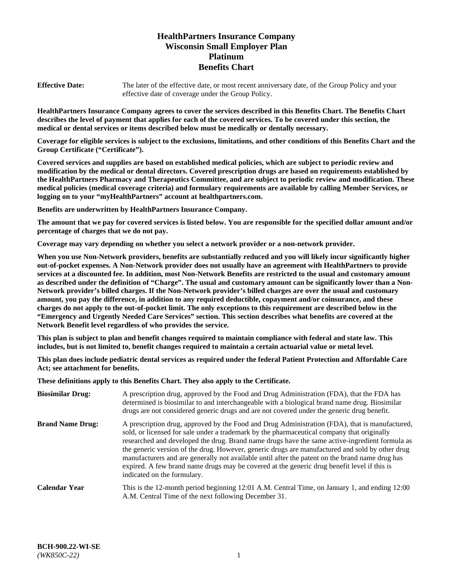# **HealthPartners Insurance Company Wisconsin Small Employer Plan Platinum Benefits Chart**

**Effective Date:** The later of the effective date, or most recent anniversary date, of the Group Policy and your effective date of coverage under the Group Policy.

**HealthPartners Insurance Company agrees to cover the services described in this Benefits Chart. The Benefits Chart describes the level of payment that applies for each of the covered services. To be covered under this section, the medical or dental services or items described below must be medically or dentally necessary.**

**Coverage for eligible services is subject to the exclusions, limitations, and other conditions of this Benefits Chart and the Group Certificate ("Certificate").**

**Covered services and supplies are based on established medical policies, which are subject to periodic review and modification by the medical or dental directors. Covered prescription drugs are based on requirements established by the HealthPartners Pharmacy and Therapeutics Committee, and are subject to periodic review and modification. These medical policies (medical coverage criteria) and formulary requirements are available by calling Member Services, or logging on to your "myHealthPartners" account at [healthpartners.com.](https://www.healthpartners.com/hp/index.html)** 

**Benefits are underwritten by HealthPartners Insurance Company.**

**The amount that we pay for covered services is listed below. You are responsible for the specified dollar amount and/or percentage of charges that we do not pay.**

**Coverage may vary depending on whether you select a network provider or a non-network provider.**

**When you use Non-Network providers, benefits are substantially reduced and you will likely incur significantly higher out-of-pocket expenses. A Non-Network provider does not usually have an agreement with HealthPartners to provide services at a discounted fee. In addition, most Non-Network Benefits are restricted to the usual and customary amount as described under the definition of "Charge". The usual and customary amount can be significantly lower than a Non-Network provider's billed charges. If the Non-Network provider's billed charges are over the usual and customary amount, you pay the difference, in addition to any required deductible, copayment and/or coinsurance, and these charges do not apply to the out-of-pocket limit. The only exceptions to this requirement are described below in the "Emergency and Urgently Needed Care Services" section. This section describes what benefits are covered at the Network Benefit level regardless of who provides the service.**

**This plan is subject to plan and benefit changes required to maintain compliance with federal and state law. This includes, but is not limited to, benefit changes required to maintain a certain actuarial value or metal level.**

**This plan does include pediatric dental services as required under the federal Patient Protection and Affordable Care Act; see attachment for benefits.**

**These definitions apply to this Benefits Chart. They also apply to the Certificate.**

| <b>Biosimilar Drug:</b> | A prescription drug, approved by the Food and Drug Administration (FDA), that the FDA has<br>determined is biosimilar to and interchangeable with a biological brand name drug. Biosimilar<br>drugs are not considered generic drugs and are not covered under the generic drug benefit.                                                                                                                                                                                                                                                                                                                                           |
|-------------------------|------------------------------------------------------------------------------------------------------------------------------------------------------------------------------------------------------------------------------------------------------------------------------------------------------------------------------------------------------------------------------------------------------------------------------------------------------------------------------------------------------------------------------------------------------------------------------------------------------------------------------------|
| <b>Brand Name Drug:</b> | A prescription drug, approved by the Food and Drug Administration (FDA), that is manufactured,<br>sold, or licensed for sale under a trademark by the pharmaceutical company that originally<br>researched and developed the drug. Brand name drugs have the same active-ingredient formula as<br>the generic version of the drug. However, generic drugs are manufactured and sold by other drug<br>manufacturers and are generally not available until after the patent on the brand name drug has<br>expired. A few brand name drugs may be covered at the generic drug benefit level if this is<br>indicated on the formulary. |
| <b>Calendar Year</b>    | This is the 12-month period beginning 12:01 A.M. Central Time, on January 1, and ending 12:00<br>A.M. Central Time of the next following December 31.                                                                                                                                                                                                                                                                                                                                                                                                                                                                              |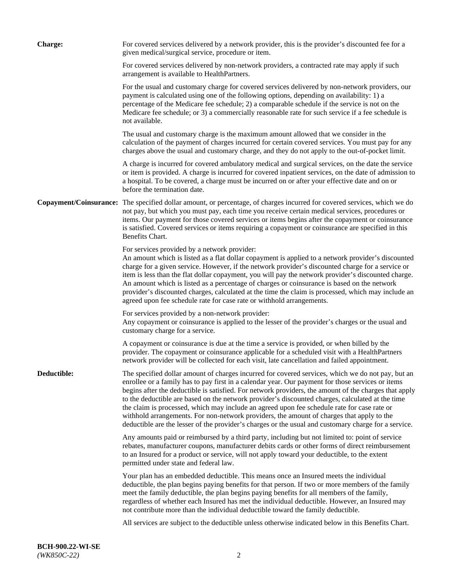| <b>Charge:</b> | For covered services delivered by a network provider, this is the provider's discounted fee for a<br>given medical/surgical service, procedure or item.                                                                                                                                                                                                                                                                                                                                                                                                                                                                                                                                                                 |
|----------------|-------------------------------------------------------------------------------------------------------------------------------------------------------------------------------------------------------------------------------------------------------------------------------------------------------------------------------------------------------------------------------------------------------------------------------------------------------------------------------------------------------------------------------------------------------------------------------------------------------------------------------------------------------------------------------------------------------------------------|
|                | For covered services delivered by non-network providers, a contracted rate may apply if such<br>arrangement is available to HealthPartners.                                                                                                                                                                                                                                                                                                                                                                                                                                                                                                                                                                             |
|                | For the usual and customary charge for covered services delivered by non-network providers, our<br>payment is calculated using one of the following options, depending on availability: 1) a<br>percentage of the Medicare fee schedule; 2) a comparable schedule if the service is not on the<br>Medicare fee schedule; or 3) a commercially reasonable rate for such service if a fee schedule is<br>not available.                                                                                                                                                                                                                                                                                                   |
|                | The usual and customary charge is the maximum amount allowed that we consider in the<br>calculation of the payment of charges incurred for certain covered services. You must pay for any<br>charges above the usual and customary charge, and they do not apply to the out-of-pocket limit.                                                                                                                                                                                                                                                                                                                                                                                                                            |
|                | A charge is incurred for covered ambulatory medical and surgical services, on the date the service<br>or item is provided. A charge is incurred for covered inpatient services, on the date of admission to<br>a hospital. To be covered, a charge must be incurred on or after your effective date and on or<br>before the termination date.                                                                                                                                                                                                                                                                                                                                                                           |
|                | Copayment/Coinsurance: The specified dollar amount, or percentage, of charges incurred for covered services, which we do<br>not pay, but which you must pay, each time you receive certain medical services, procedures or<br>items. Our payment for those covered services or items begins after the copayment or coinsurance<br>is satisfied. Covered services or items requiring a copayment or coinsurance are specified in this<br>Benefits Chart.                                                                                                                                                                                                                                                                 |
|                | For services provided by a network provider:<br>An amount which is listed as a flat dollar copayment is applied to a network provider's discounted<br>charge for a given service. However, if the network provider's discounted charge for a service or<br>item is less than the flat dollar copayment, you will pay the network provider's discounted charge.<br>An amount which is listed as a percentage of charges or coinsurance is based on the network<br>provider's discounted charges, calculated at the time the claim is processed, which may include an<br>agreed upon fee schedule rate for case rate or withhold arrangements.                                                                            |
|                | For services provided by a non-network provider:<br>Any copayment or coinsurance is applied to the lesser of the provider's charges or the usual and<br>customary charge for a service.                                                                                                                                                                                                                                                                                                                                                                                                                                                                                                                                 |
|                | A copayment or coinsurance is due at the time a service is provided, or when billed by the<br>provider. The copayment or coinsurance applicable for a scheduled visit with a HealthPartners<br>network provider will be collected for each visit, late cancellation and failed appointment.                                                                                                                                                                                                                                                                                                                                                                                                                             |
| Deductible:    | The specified dollar amount of charges incurred for covered services, which we do not pay, but an<br>enrollee or a family has to pay first in a calendar year. Our payment for those services or items<br>begins after the deductible is satisfied. For network providers, the amount of the charges that apply<br>to the deductible are based on the network provider's discounted charges, calculated at the time<br>the claim is processed, which may include an agreed upon fee schedule rate for case rate or<br>withhold arrangements. For non-network providers, the amount of charges that apply to the<br>deductible are the lesser of the provider's charges or the usual and customary charge for a service. |
|                | Any amounts paid or reimbursed by a third party, including but not limited to: point of service<br>rebates, manufacturer coupons, manufacturer debits cards or other forms of direct reimbursement<br>to an Insured for a product or service, will not apply toward your deductible, to the extent<br>permitted under state and federal law.                                                                                                                                                                                                                                                                                                                                                                            |
|                | Your plan has an embedded deductible. This means once an Insured meets the individual<br>deductible, the plan begins paying benefits for that person. If two or more members of the family<br>meet the family deductible, the plan begins paying benefits for all members of the family,<br>regardless of whether each Insured has met the individual deductible. However, an Insured may<br>not contribute more than the individual deductible toward the family deductible.                                                                                                                                                                                                                                           |
|                | All services are subject to the deductible unless otherwise indicated below in this Benefits Chart.                                                                                                                                                                                                                                                                                                                                                                                                                                                                                                                                                                                                                     |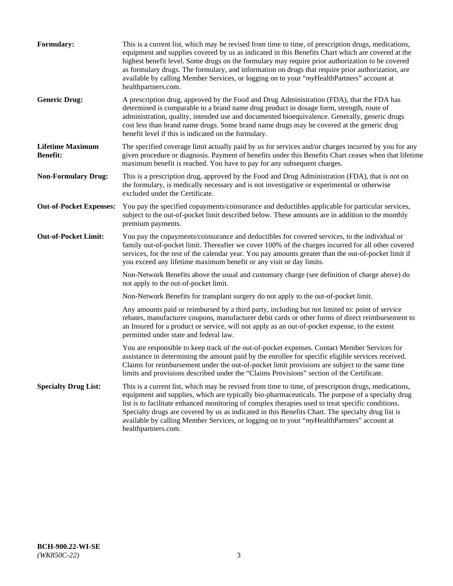| <b>Formulary:</b>                          | This is a current list, which may be revised from time to time, of prescription drugs, medications,<br>equipment and supplies covered by us as indicated in this Benefits Chart which are covered at the<br>highest benefit level. Some drugs on the formulary may require prior authorization to be covered<br>as formulary drugs. The formulary, and information on drugs that require prior authorization, are<br>available by calling Member Services, or logging on to your "myHealthPartners" account at<br>healthpartners.com. |
|--------------------------------------------|---------------------------------------------------------------------------------------------------------------------------------------------------------------------------------------------------------------------------------------------------------------------------------------------------------------------------------------------------------------------------------------------------------------------------------------------------------------------------------------------------------------------------------------|
| <b>Generic Drug:</b>                       | A prescription drug, approved by the Food and Drug Administration (FDA), that the FDA has<br>determined is comparable to a brand name drug product in dosage form, strength, route of<br>administration, quality, intended use and documented bioequivalence. Generally, generic drugs<br>cost less than brand name drugs. Some brand name drugs may be covered at the generic drug<br>benefit level if this is indicated on the formulary.                                                                                           |
| <b>Lifetime Maximum</b><br><b>Benefit:</b> | The specified coverage limit actually paid by us for services and/or charges incurred by you for any<br>given procedure or diagnosis. Payment of benefits under this Benefits Chart ceases when that lifetime<br>maximum benefit is reached. You have to pay for any subsequent charges.                                                                                                                                                                                                                                              |
| <b>Non-Formulary Drug:</b>                 | This is a prescription drug, approved by the Food and Drug Administration (FDA), that is not on<br>the formulary, is medically necessary and is not investigative or experimental or otherwise<br>excluded under the Certificate.                                                                                                                                                                                                                                                                                                     |
| <b>Out-of-Pocket Expenses:</b>             | You pay the specified copayments/coinsurance and deductibles applicable for particular services,<br>subject to the out-of-pocket limit described below. These amounts are in addition to the monthly<br>premium payments.                                                                                                                                                                                                                                                                                                             |
| <b>Out-of-Pocket Limit:</b>                | You pay the copayments/coinsurance and deductibles for covered services, to the individual or<br>family out-of-pocket limit. Thereafter we cover 100% of the charges incurred for all other covered<br>services, for the rest of the calendar year. You pay amounts greater than the out-of-pocket limit if<br>you exceed any lifetime maximum benefit or any visit or day limits.                                                                                                                                                    |
|                                            | Non-Network Benefits above the usual and customary charge (see definition of charge above) do<br>not apply to the out-of-pocket limit.                                                                                                                                                                                                                                                                                                                                                                                                |
|                                            | Non-Network Benefits for transplant surgery do not apply to the out-of-pocket limit.                                                                                                                                                                                                                                                                                                                                                                                                                                                  |
|                                            | Any amounts paid or reimbursed by a third party, including but not limited to: point of service<br>rebates, manufacturer coupons, manufacturer debit cards or other forms of direct reimbursement to<br>an Insured for a product or service, will not apply as an out-of-pocket expense, to the extent<br>permitted under state and federal law.                                                                                                                                                                                      |
|                                            | You are responsible to keep track of the out-of-pocket expenses. Contact Member Services for<br>assistance in determining the amount paid by the enrollee for specific eligible services received.<br>Claims for reimbursement under the out-of-pocket limit provisions are subject to the same time<br>limits and provisions described under the "Claims Provisions" section of the Certificate.                                                                                                                                     |
| <b>Specialty Drug List:</b>                | This is a current list, which may be revised from time to time, of prescription drugs, medications,<br>equipment and supplies, which are typically bio-pharmaceuticals. The purpose of a specialty drug<br>list is to facilitate enhanced monitoring of complex therapies used to treat specific conditions.<br>Specialty drugs are covered by us as indicated in this Benefits Chart. The specialty drug list is<br>available by calling Member Services, or logging on to your "myHealthPartners" account at<br>healthpartners.com. |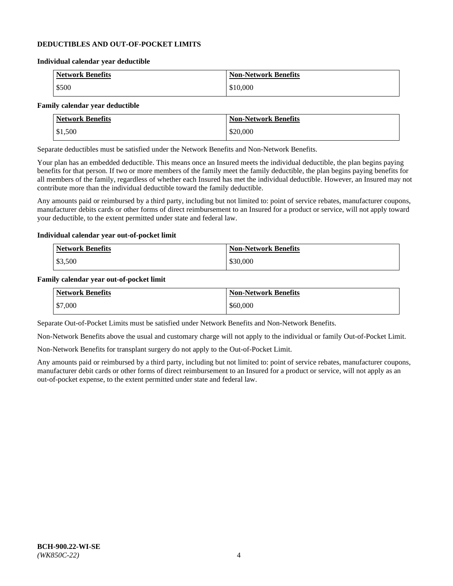### **DEDUCTIBLES AND OUT-OF-POCKET LIMITS**

#### **Individual calendar year deductible**

| <b>Network Benefits</b> | <b>Non-Network Benefits</b> |
|-------------------------|-----------------------------|
| \$500                   | \$10,000                    |

### **Family calendar year deductible**

| <b>Network Benefits</b> | <b>Non-Network Benefits</b> |
|-------------------------|-----------------------------|
| \$1,500                 | \$20,000                    |

Separate deductibles must be satisfied under the Network Benefits and Non-Network Benefits.

Your plan has an embedded deductible. This means once an Insured meets the individual deductible, the plan begins paying benefits for that person. If two or more members of the family meet the family deductible, the plan begins paying benefits for all members of the family, regardless of whether each Insured has met the individual deductible. However, an Insured may not contribute more than the individual deductible toward the family deductible.

Any amounts paid or reimbursed by a third party, including but not limited to: point of service rebates, manufacturer coupons, manufacturer debits cards or other forms of direct reimbursement to an Insured for a product or service, will not apply toward your deductible, to the extent permitted under state and federal law.

#### **Individual calendar year out-of-pocket limit**

| Network Benefits | <b>Non-Network Benefits</b> |
|------------------|-----------------------------|
| \$3,500          | \$30,000                    |

#### **Family calendar year out-of-pocket limit**

| <b>Network Benefits</b> | <b>Non-Network Benefits</b> |
|-------------------------|-----------------------------|
| \$7,000                 | \$60,000                    |

Separate Out-of-Pocket Limits must be satisfied under Network Benefits and Non-Network Benefits.

Non-Network Benefits above the usual and customary charge will not apply to the individual or family Out-of-Pocket Limit.

Non-Network Benefits for transplant surgery do not apply to the Out-of-Pocket Limit.

Any amounts paid or reimbursed by a third party, including but not limited to: point of service rebates, manufacturer coupons, manufacturer debit cards or other forms of direct reimbursement to an Insured for a product or service, will not apply as an out-of-pocket expense, to the extent permitted under state and federal law.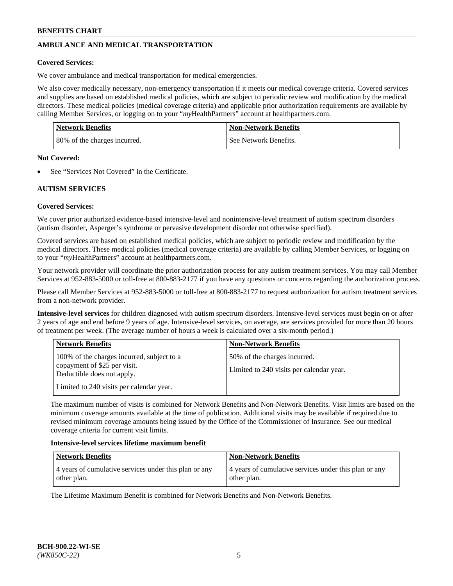# **AMBULANCE AND MEDICAL TRANSPORTATION**

### **Covered Services:**

We cover ambulance and medical transportation for medical emergencies.

We also cover medically necessary, non-emergency transportation if it meets our medical coverage criteria. Covered services and supplies are based on established medical policies, which are subject to periodic review and modification by the medical directors. These medical policies (medical coverage criteria) and applicable prior authorization requirements are available by calling Member Services, or logging on to your "*my*HealthPartners" account a[t healthpartners.com.](https://www.healthpartners.com/hp/index.html)

| <b>Network Benefits</b>      | Non-Network Benefits  |
|------------------------------|-----------------------|
| 80% of the charges incurred. | See Network Benefits. |

#### **Not Covered:**

See "Services Not Covered" in the Certificate.

## **AUTISM SERVICES**

## **Covered Services:**

We cover prior authorized evidence-based intensive-level and nonintensive-level treatment of autism spectrum disorders (autism disorder, Asperger's syndrome or pervasive development disorder not otherwise specified).

Covered services are based on established medical policies, which are subject to periodic review and modification by the medical directors. These medical policies (medical coverage criteria) are available by calling Member Services, or logging on to your "*my*HealthPartners" account at [healthpartners.com.](https://www.healthpartners.com/hp/index.html)

Your network provider will coordinate the prior authorization process for any autism treatment services. You may call Member Services at 952-883-5000 or toll-free at 800-883-2177 if you have any questions or concerns regarding the authorization process.

Please call Member Services at 952-883-5000 or toll-free at 800-883-2177 to request authorization for autism treatment services from a non-network provider.

**Intensive-level services** for children diagnosed with autism spectrum disorders. Intensive-level services must begin on or after 2 years of age and end before 9 years of age. Intensive-level services, on average, are services provided for more than 20 hours of treatment per week. (The average number of hours a week is calculated over a six-month period.)

| <b>Network Benefits</b>                                                                                                                              | <b>Non-Network Benefits</b>                                              |
|------------------------------------------------------------------------------------------------------------------------------------------------------|--------------------------------------------------------------------------|
| 100% of the charges incurred, subject to a<br>copayment of \$25 per visit.<br>Deductible does not apply.<br>Limited to 240 visits per calendar year. | 50% of the charges incurred.<br>Limited to 240 visits per calendar year. |

The maximum number of visits is combined for Network Benefits and Non-Network Benefits. Visit limits are based on the minimum coverage amounts available at the time of publication. Additional visits may be available if required due to revised minimum coverage amounts being issued by the Office of the Commissioner of Insurance. See our medical coverage criteria for current visit limits.

#### **Intensive-level services lifetime maximum benefit**

| Network Benefits                                      | <b>Non-Network Benefits</b>                           |
|-------------------------------------------------------|-------------------------------------------------------|
| 4 years of cumulative services under this plan or any | 4 years of cumulative services under this plan or any |
| other plan.                                           | other plan.                                           |

The Lifetime Maximum Benefit is combined for Network Benefits and Non-Network Benefits.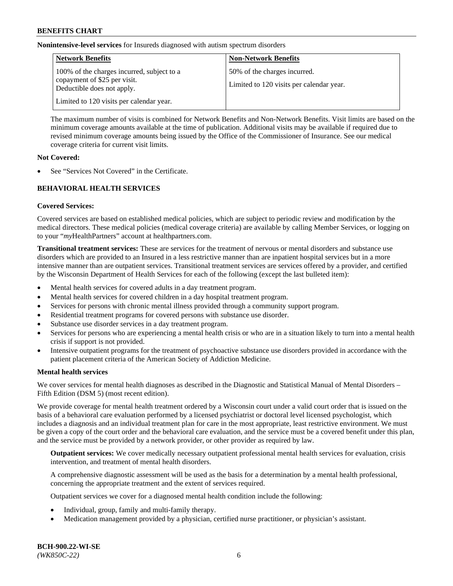**Nonintensive-level services** for Insureds diagnosed with autism spectrum disorders

| <b>Network Benefits</b>                                                                                  | <b>Non-Network Benefits</b>                                              |
|----------------------------------------------------------------------------------------------------------|--------------------------------------------------------------------------|
| 100% of the charges incurred, subject to a<br>copayment of \$25 per visit.<br>Deductible does not apply. | 50% of the charges incurred.<br>Limited to 120 visits per calendar year. |
| Limited to 120 visits per calendar year.                                                                 |                                                                          |

The maximum number of visits is combined for Network Benefits and Non-Network Benefits. Visit limits are based on the minimum coverage amounts available at the time of publication. Additional visits may be available if required due to revised minimum coverage amounts being issued by the Office of the Commissioner of Insurance. See our medical coverage criteria for current visit limits.

### **Not Covered:**

See "Services Not Covered" in the Certificate.

## **BEHAVIORAL HEALTH SERVICES**

### **Covered Services:**

Covered services are based on established medical policies, which are subject to periodic review and modification by the medical directors. These medical policies (medical coverage criteria) are available by calling Member Services, or logging on to your "*my*HealthPartners" account at [healthpartners.com.](https://www.healthpartners.com/hp/index.html)

**Transitional treatment services:** These are services for the treatment of nervous or mental disorders and substance use disorders which are provided to an Insured in a less restrictive manner than are inpatient hospital services but in a more intensive manner than are outpatient services. Transitional treatment services are services offered by a provider, and certified by the Wisconsin Department of Health Services for each of the following (except the last bulleted item):

- Mental health services for covered adults in a day treatment program.
- Mental health services for covered children in a day hospital treatment program.
- Services for persons with chronic mental illness provided through a community support program.
- Residential treatment programs for covered persons with substance use disorder.
- Substance use disorder services in a day treatment program.
- Services for persons who are experiencing a mental health crisis or who are in a situation likely to turn into a mental health crisis if support is not provided.
- Intensive outpatient programs for the treatment of psychoactive substance use disorders provided in accordance with the patient placement criteria of the American Society of Addiction Medicine.

## **Mental health services**

We cover services for mental health diagnoses as described in the Diagnostic and Statistical Manual of Mental Disorders – Fifth Edition (DSM 5) (most recent edition).

We provide coverage for mental health treatment ordered by a Wisconsin court under a valid court order that is issued on the basis of a behavioral care evaluation performed by a licensed psychiatrist or doctoral level licensed psychologist, which includes a diagnosis and an individual treatment plan for care in the most appropriate, least restrictive environment. We must be given a copy of the court order and the behavioral care evaluation, and the service must be a covered benefit under this plan, and the service must be provided by a network provider, or other provider as required by law.

**Outpatient services:** We cover medically necessary outpatient professional mental health services for evaluation, crisis intervention, and treatment of mental health disorders.

A comprehensive diagnostic assessment will be used as the basis for a determination by a mental health professional, concerning the appropriate treatment and the extent of services required.

Outpatient services we cover for a diagnosed mental health condition include the following:

- Individual, group, family and multi-family therapy.
- Medication management provided by a physician, certified nurse practitioner, or physician's assistant.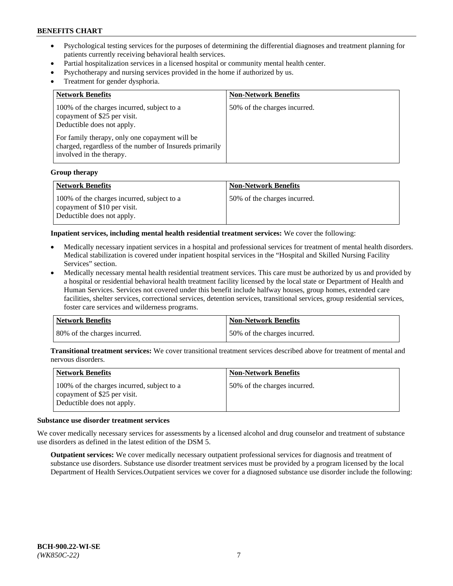- Psychological testing services for the purposes of determining the differential diagnoses and treatment planning for patients currently receiving behavioral health services.
- Partial hospitalization services in a licensed hospital or community mental health center.
- Psychotherapy and nursing services provided in the home if authorized by us.
- Treatment for gender dysphoria.

| <b>Network Benefits</b>                                                                                                                                                                                                                           | <b>Non-Network Benefits</b>  |
|---------------------------------------------------------------------------------------------------------------------------------------------------------------------------------------------------------------------------------------------------|------------------------------|
| 100% of the charges incurred, subject to a<br>copayment of \$25 per visit.<br>Deductible does not apply.<br>For family therapy, only one copayment will be<br>charged, regardless of the number of Insureds primarily<br>involved in the therapy. | 50% of the charges incurred. |

#### **Group therapy**

| Network Benefits                                                                                         | <b>Non-Network Benefits</b>  |
|----------------------------------------------------------------------------------------------------------|------------------------------|
| 100% of the charges incurred, subject to a<br>copayment of \$10 per visit.<br>Deductible does not apply. | 50% of the charges incurred. |

**Inpatient services, including mental health residential treatment services:** We cover the following:

- Medically necessary inpatient services in a hospital and professional services for treatment of mental health disorders. Medical stabilization is covered under inpatient hospital services in the "Hospital and Skilled Nursing Facility Services" section.
- Medically necessary mental health residential treatment services. This care must be authorized by us and provided by a hospital or residential behavioral health treatment facility licensed by the local state or Department of Health and Human Services. Services not covered under this benefit include halfway houses, group homes, extended care facilities, shelter services, correctional services, detention services, transitional services, group residential services, foster care services and wilderness programs.

| Network Benefits             | <b>Non-Network Benefits</b>  |
|------------------------------|------------------------------|
| 80% of the charges incurred. | 50% of the charges incurred. |

**Transitional treatment services:** We cover transitional treatment services described above for treatment of mental and nervous disorders.

| <b>Network Benefits</b>                                                                                  | <b>Non-Network Benefits</b>  |
|----------------------------------------------------------------------------------------------------------|------------------------------|
| 100% of the charges incurred, subject to a<br>copayment of \$25 per visit.<br>Deductible does not apply. | 50% of the charges incurred. |

#### **Substance use disorder treatment services**

We cover medically necessary services for assessments by a licensed alcohol and drug counselor and treatment of substance use disorders as defined in the latest edition of the DSM 5.

**Outpatient services:** We cover medically necessary outpatient professional services for diagnosis and treatment of substance use disorders. Substance use disorder treatment services must be provided by a program licensed by the local Department of Health Services.Outpatient services we cover for a diagnosed substance use disorder include the following: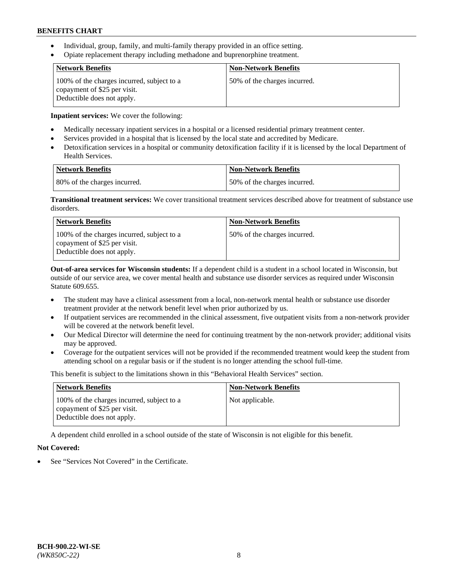- Individual, group, family, and multi-family therapy provided in an office setting.
- Opiate replacement therapy including methadone and buprenorphine treatment.

| <b>Network Benefits</b>                                                                                  | <b>Non-Network Benefits</b>  |
|----------------------------------------------------------------------------------------------------------|------------------------------|
| 100% of the charges incurred, subject to a<br>copayment of \$25 per visit.<br>Deductible does not apply. | 50% of the charges incurred. |

**Inpatient services:** We cover the following:

- Medically necessary inpatient services in a hospital or a licensed residential primary treatment center.
- Services provided in a hospital that is licensed by the local state and accredited by Medicare.
- Detoxification services in a hospital or community detoxification facility if it is licensed by the local Department of Health Services.

| Network Benefits             | Non-Network Benefits         |
|------------------------------|------------------------------|
| 80% of the charges incurred. | 50% of the charges incurred. |

**Transitional treatment services:** We cover transitional treatment services described above for treatment of substance use disorders.

| <b>Network Benefits</b>                                                                                  | <b>Non-Network Benefits</b>  |
|----------------------------------------------------------------------------------------------------------|------------------------------|
| 100% of the charges incurred, subject to a<br>copayment of \$25 per visit.<br>Deductible does not apply. | 50% of the charges incurred. |

**Out-of-area services for Wisconsin students:** If a dependent child is a student in a school located in Wisconsin, but outside of our service area, we cover mental health and substance use disorder services as required under Wisconsin Statute 609.655.

- The student may have a clinical assessment from a local, non-network mental health or substance use disorder treatment provider at the network benefit level when prior authorized by us.
- If outpatient services are recommended in the clinical assessment, five outpatient visits from a non-network provider will be covered at the network benefit level.
- Our Medical Director will determine the need for continuing treatment by the non-network provider; additional visits may be approved.
- Coverage for the outpatient services will not be provided if the recommended treatment would keep the student from attending school on a regular basis or if the student is no longer attending the school full-time.

This benefit is subject to the limitations shown in this "Behavioral Health Services" section.

| <b>Network Benefits</b>                                                                                  | <b>Non-Network Benefits</b> |
|----------------------------------------------------------------------------------------------------------|-----------------------------|
| 100% of the charges incurred, subject to a<br>copayment of \$25 per visit.<br>Deductible does not apply. | Not applicable.             |

A dependent child enrolled in a school outside of the state of Wisconsin is not eligible for this benefit.

## **Not Covered:**

See "Services Not Covered" in the Certificate.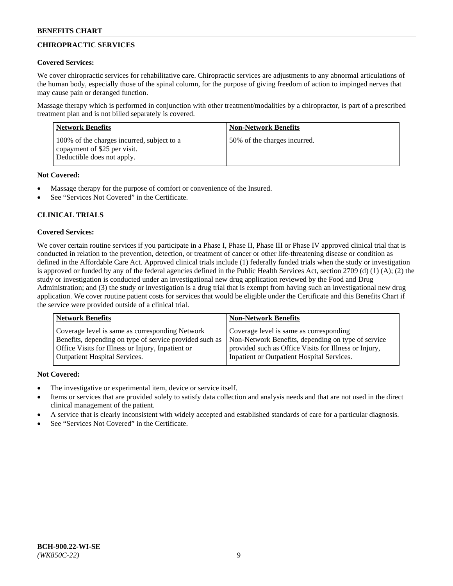# **CHIROPRACTIC SERVICES**

## **Covered Services:**

We cover chiropractic services for rehabilitative care. Chiropractic services are adjustments to any abnormal articulations of the human body, especially those of the spinal column, for the purpose of giving freedom of action to impinged nerves that may cause pain or deranged function.

Massage therapy which is performed in conjunction with other treatment/modalities by a chiropractor, is part of a prescribed treatment plan and is not billed separately is covered.

| <b>Network Benefits</b>                                                                                  | <b>Non-Network Benefits</b>  |
|----------------------------------------------------------------------------------------------------------|------------------------------|
| 100% of the charges incurred, subject to a<br>copayment of \$25 per visit.<br>Deductible does not apply. | 50% of the charges incurred. |

## **Not Covered:**

- Massage therapy for the purpose of comfort or convenience of the Insured.
- See "Services Not Covered" in the Certificate.

# **CLINICAL TRIALS**

## **Covered Services:**

We cover certain routine services if you participate in a Phase I, Phase II, Phase III or Phase IV approved clinical trial that is conducted in relation to the prevention, detection, or treatment of cancer or other life-threatening disease or condition as defined in the Affordable Care Act. Approved clinical trials include (1) federally funded trials when the study or investigation is approved or funded by any of the federal agencies defined in the Public Health Services Act, section 2709 (d) (1) (A); (2) the study or investigation is conducted under an investigational new drug application reviewed by the Food and Drug Administration; and (3) the study or investigation is a drug trial that is exempt from having such an investigational new drug application. We cover routine patient costs for services that would be eligible under the Certificate and this Benefits Chart if the service were provided outside of a clinical trial.

| Coverage level is same as corresponding Network                                                                                                                                                    | <b>Non-Network Benefits</b>                                                                                                                            |  |
|----------------------------------------------------------------------------------------------------------------------------------------------------------------------------------------------------|--------------------------------------------------------------------------------------------------------------------------------------------------------|--|
| Benefits, depending on type of service provided such as<br>Office Visits for Illness or Injury, Inpatient or<br>Inpatient or Outpatient Hospital Services.<br><b>Outpatient Hospital Services.</b> | Coverage level is same as corresponding<br>Non-Network Benefits, depending on type of service<br>provided such as Office Visits for Illness or Injury, |  |

## **Not Covered:**

- The investigative or experimental item, device or service itself.
- Items or services that are provided solely to satisfy data collection and analysis needs and that are not used in the direct clinical management of the patient.
- A service that is clearly inconsistent with widely accepted and established standards of care for a particular diagnosis.
- See "Services Not Covered" in the Certificate.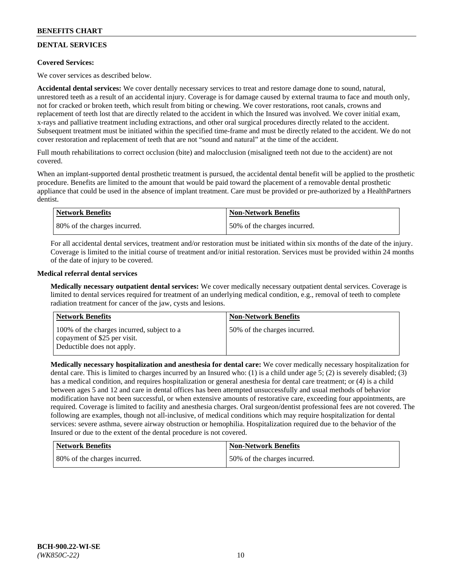# **DENTAL SERVICES**

## **Covered Services:**

We cover services as described below.

**Accidental dental services:** We cover dentally necessary services to treat and restore damage done to sound, natural, unrestored teeth as a result of an accidental injury. Coverage is for damage caused by external trauma to face and mouth only, not for cracked or broken teeth, which result from biting or chewing. We cover restorations, root canals, crowns and replacement of teeth lost that are directly related to the accident in which the Insured was involved. We cover initial exam, x-rays and palliative treatment including extractions, and other oral surgical procedures directly related to the accident. Subsequent treatment must be initiated within the specified time-frame and must be directly related to the accident. We do not cover restoration and replacement of teeth that are not "sound and natural" at the time of the accident.

Full mouth rehabilitations to correct occlusion (bite) and malocclusion (misaligned teeth not due to the accident) are not covered.

When an implant-supported dental prosthetic treatment is pursued, the accidental dental benefit will be applied to the prosthetic procedure. Benefits are limited to the amount that would be paid toward the placement of a removable dental prosthetic appliance that could be used in the absence of implant treatment. Care must be provided or pre-authorized by a HealthPartners dentist.

| <b>Network Benefits</b>      | <b>Non-Network Benefits</b>  |
|------------------------------|------------------------------|
| 80% of the charges incurred. | 50% of the charges incurred. |

For all accidental dental services, treatment and/or restoration must be initiated within six months of the date of the injury. Coverage is limited to the initial course of treatment and/or initial restoration. Services must be provided within 24 months of the date of injury to be covered.

## **Medical referral dental services**

**Medically necessary outpatient dental services:** We cover medically necessary outpatient dental services. Coverage is limited to dental services required for treatment of an underlying medical condition, e.g., removal of teeth to complete radiation treatment for cancer of the jaw, cysts and lesions.

| <b>Network Benefits</b>                                                                                  | <b>Non-Network Benefits</b>  |
|----------------------------------------------------------------------------------------------------------|------------------------------|
| 100% of the charges incurred, subject to a<br>copayment of \$25 per visit.<br>Deductible does not apply. | 50% of the charges incurred. |

**Medically necessary hospitalization and anesthesia for dental care:** We cover medically necessary hospitalization for dental care. This is limited to charges incurred by an Insured who: (1) is a child under age 5; (2) is severely disabled; (3) has a medical condition, and requires hospitalization or general anesthesia for dental care treatment; or (4) is a child between ages 5 and 12 and care in dental offices has been attempted unsuccessfully and usual methods of behavior modification have not been successful, or when extensive amounts of restorative care, exceeding four appointments, are required. Coverage is limited to facility and anesthesia charges. Oral surgeon/dentist professional fees are not covered. The following are examples, though not all-inclusive, of medical conditions which may require hospitalization for dental services: severe asthma, severe airway obstruction or hemophilia. Hospitalization required due to the behavior of the Insured or due to the extent of the dental procedure is not covered.

| <b>Network Benefits</b>      | Non-Network Benefits         |
|------------------------------|------------------------------|
| 80% of the charges incurred. | 50% of the charges incurred. |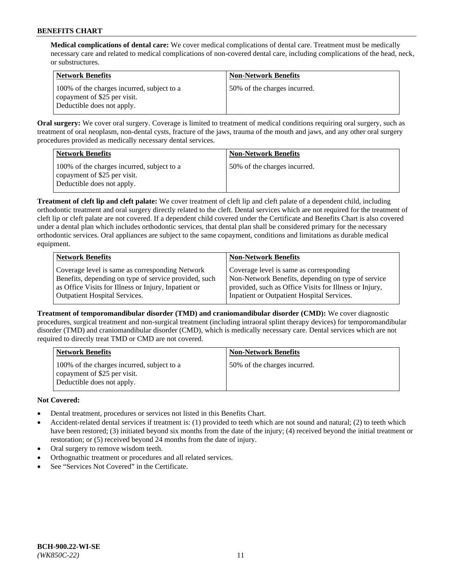**Medical complications of dental care:** We cover medical complications of dental care. Treatment must be medically necessary care and related to medical complications of non-covered dental care, including complications of the head, neck, or substructures.

| Network Benefits                                                                                         | <b>Non-Network Benefits</b>  |
|----------------------------------------------------------------------------------------------------------|------------------------------|
| 100% of the charges incurred, subject to a<br>copayment of \$25 per visit.<br>Deductible does not apply. | 50% of the charges incurred. |

**Oral surgery:** We cover oral surgery. Coverage is limited to treatment of medical conditions requiring oral surgery, such as treatment of oral neoplasm, non-dental cysts, fracture of the jaws, trauma of the mouth and jaws, and any other oral surgery procedures provided as medically necessary dental services.

| <b>Network Benefits</b>                                                                                  | <b>Non-Network Benefits</b>  |
|----------------------------------------------------------------------------------------------------------|------------------------------|
| 100% of the charges incurred, subject to a<br>copayment of \$25 per visit.<br>Deductible does not apply. | 50% of the charges incurred. |

**Treatment of cleft lip and cleft palate:** We cover treatment of cleft lip and cleft palate of a dependent child, including orthodontic treatment and oral surgery directly related to the cleft. Dental services which are not required for the treatment of cleft lip or cleft palate are not covered. If a dependent child covered under the Certificate and Benefits Chart is also covered under a dental plan which includes orthodontic services, that dental plan shall be considered primary for the necessary orthodontic services. Oral appliances are subject to the same copayment, conditions and limitations as durable medical equipment.

| <b>Network Benefits</b>                               | <b>Non-Network Benefits</b>                            |
|-------------------------------------------------------|--------------------------------------------------------|
| Coverage level is same as corresponding Network       | Coverage level is same as corresponding                |
| Benefits, depending on type of service provided, such | Non-Network Benefits, depending on type of service     |
| as Office Visits for Illness or Injury, Inpatient or  | provided, such as Office Visits for Illness or Injury, |
| <b>Outpatient Hospital Services.</b>                  | Inpatient or Outpatient Hospital Services.             |

**Treatment of temporomandibular disorder (TMD) and craniomandibular disorder (CMD):** We cover diagnostic procedures, surgical treatment and non-surgical treatment (including intraoral splint therapy devices) for temporomandibular disorder (TMD) and craniomandibular disorder (CMD), which is medically necessary care. Dental services which are not required to directly treat TMD or CMD are not covered.

| <b>Network Benefits</b>                                                                                  | <b>Non-Network Benefits</b>  |
|----------------------------------------------------------------------------------------------------------|------------------------------|
| 100% of the charges incurred, subject to a<br>copayment of \$25 per visit.<br>Deductible does not apply. | 50% of the charges incurred. |

# **Not Covered:**

- Dental treatment, procedures or services not listed in this Benefits Chart.
- Accident-related dental services if treatment is: (1) provided to teeth which are not sound and natural; (2) to teeth which have been restored; (3) initiated beyond six months from the date of the injury; (4) received beyond the initial treatment or restoration; or (5) received beyond 24 months from the date of injury.
- Oral surgery to remove wisdom teeth.
- Orthognathic treatment or procedures and all related services.
- See "Services Not Covered" in the Certificate.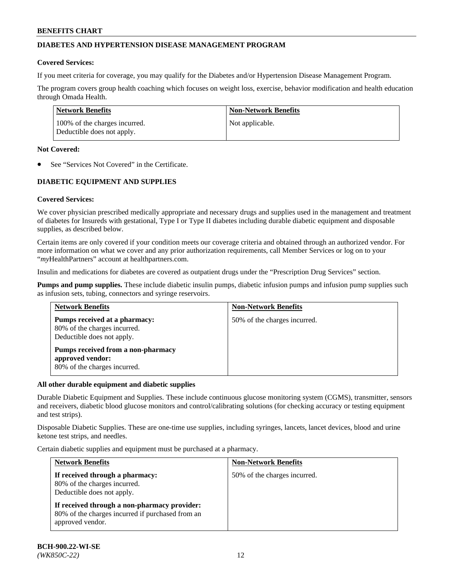## **DIABETES AND HYPERTENSION DISEASE MANAGEMENT PROGRAM**

### **Covered Services:**

If you meet criteria for coverage, you may qualify for the Diabetes and/or Hypertension Disease Management Program.

The program covers group health coaching which focuses on weight loss, exercise, behavior modification and health education through Omada Health.

| <b>Network Benefits</b>                                     | <b>Non-Network Benefits</b> |
|-------------------------------------------------------------|-----------------------------|
| 100% of the charges incurred.<br>Deductible does not apply. | Not applicable.             |

### **Not Covered:**

See "Services Not Covered" in the Certificate.

## **DIABETIC EQUIPMENT AND SUPPLIES**

## **Covered Services:**

We cover physician prescribed medically appropriate and necessary drugs and supplies used in the management and treatment of diabetes for Insureds with gestational, Type I or Type II diabetes including durable diabetic equipment and disposable supplies, as described below.

Certain items are only covered if your condition meets our coverage criteria and obtained through an authorized vendor. For more information on what we cover and any prior authorization requirements, call Member Services or log on to your "*my*HealthPartners" account at [healthpartners.com.](http://www.healthpartners.com/)

Insulin and medications for diabetes are covered as outpatient drugs under the "Prescription Drug Services" section.

**Pumps and pump supplies.** These include diabetic insulin pumps, diabetic infusion pumps and infusion pump supplies such as infusion sets, tubing, connectors and syringe reservoirs.

| <b>Network Benefits</b>                                                                     | <b>Non-Network Benefits</b>  |
|---------------------------------------------------------------------------------------------|------------------------------|
| Pumps received at a pharmacy:<br>80% of the charges incurred.<br>Deductible does not apply. | 50% of the charges incurred. |
| Pumps received from a non-pharmacy<br>approved vendor:<br>80% of the charges incurred.      |                              |

#### **All other durable equipment and diabetic supplies**

Durable Diabetic Equipment and Supplies. These include continuous glucose monitoring system (CGMS), transmitter, sensors and receivers, diabetic blood glucose monitors and control/calibrating solutions (for checking accuracy or testing equipment and test strips).

Disposable Diabetic Supplies. These are one-time use supplies, including syringes, lancets, lancet devices, blood and urine ketone test strips, and needles.

Certain diabetic supplies and equipment must be purchased at a pharmacy.

| <b>Network Benefits</b>                                                                                              | <b>Non-Network Benefits</b>  |
|----------------------------------------------------------------------------------------------------------------------|------------------------------|
| If received through a pharmacy:<br>80% of the charges incurred.<br>Deductible does not apply.                        | 50% of the charges incurred. |
| If received through a non-pharmacy provider:<br>80% of the charges incurred if purchased from an<br>approved vendor. |                              |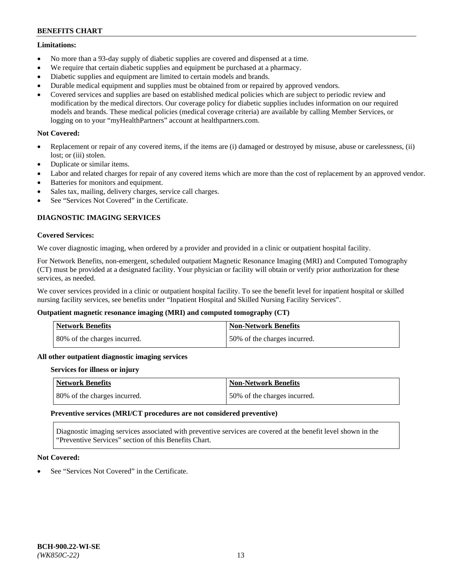### **Limitations:**

- No more than a 93-day supply of diabetic supplies are covered and dispensed at a time.
- We require that certain diabetic supplies and equipment be purchased at a pharmacy.
- Diabetic supplies and equipment are limited to certain models and brands.
- Durable medical equipment and supplies must be obtained from or repaired by approved vendors.
- Covered services and supplies are based on established medical policies which are subject to periodic review and modification by the medical directors. Our coverage policy for diabetic supplies includes information on our required models and brands. These medical policies (medical coverage criteria) are available by calling Member Services, or logging on to your "myHealthPartners" account at [healthpartners.com.](http://www.healthpartners.com/)

## **Not Covered:**

- Replacement or repair of any covered items, if the items are (i) damaged or destroyed by misuse, abuse or carelessness, (ii) lost; or (iii) stolen.
- Duplicate or similar items.
- Labor and related charges for repair of any covered items which are more than the cost of replacement by an approved vendor.
- Batteries for monitors and equipment.
- Sales tax, mailing, delivery charges, service call charges.
- See "Services Not Covered" in the Certificate.

## **DIAGNOSTIC IMAGING SERVICES**

### **Covered Services:**

We cover diagnostic imaging, when ordered by a provider and provided in a clinic or outpatient hospital facility.

For Network Benefits, non-emergent, scheduled outpatient Magnetic Resonance Imaging (MRI) and Computed Tomography (CT) must be provided at a designated facility. Your physician or facility will obtain or verify prior authorization for these services, as needed.

We cover services provided in a clinic or outpatient hospital facility. To see the benefit level for inpatient hospital or skilled nursing facility services, see benefits under "Inpatient Hospital and Skilled Nursing Facility Services".

## **Outpatient magnetic resonance imaging (MRI) and computed tomography (CT)**

| Network Benefits             | <b>Non-Network Benefits</b>  |
|------------------------------|------------------------------|
| 80% of the charges incurred. | 50% of the charges incurred. |

#### **All other outpatient diagnostic imaging services**

#### **Services for illness or injury**

| <b>Network Benefits</b>      | Non-Network Benefits         |
|------------------------------|------------------------------|
| 80% of the charges incurred. | 50% of the charges incurred. |

#### **Preventive services (MRI/CT procedures are not considered preventive)**

Diagnostic imaging services associated with preventive services are covered at the benefit level shown in the "Preventive Services" section of this Benefits Chart.

#### **Not Covered:**

See "Services Not Covered" in the Certificate.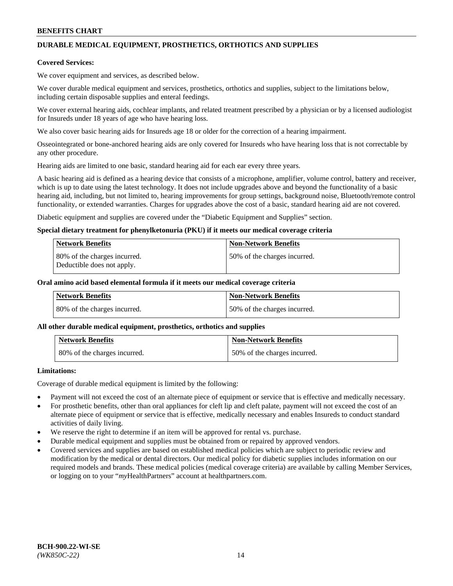# **DURABLE MEDICAL EQUIPMENT, PROSTHETICS, ORTHOTICS AND SUPPLIES**

### **Covered Services:**

We cover equipment and services, as described below.

We cover durable medical equipment and services, prosthetics, orthotics and supplies, subject to the limitations below, including certain disposable supplies and enteral feedings.

We cover external hearing aids, cochlear implants, and related treatment prescribed by a physician or by a licensed audiologist for Insureds under 18 years of age who have hearing loss.

We also cover basic hearing aids for Insureds age 18 or older for the correction of a hearing impairment.

Osseointegrated or bone-anchored hearing aids are only covered for Insureds who have hearing loss that is not correctable by any other procedure.

Hearing aids are limited to one basic, standard hearing aid for each ear every three years.

A basic hearing aid is defined as a hearing device that consists of a microphone, amplifier, volume control, battery and receiver, which is up to date using the latest technology. It does not include upgrades above and beyond the functionality of a basic hearing aid, including, but not limited to, hearing improvements for group settings, background noise, Bluetooth/remote control functionality, or extended warranties. Charges for upgrades above the cost of a basic, standard hearing aid are not covered.

Diabetic equipment and supplies are covered under the "Diabetic Equipment and Supplies" section.

### **Special dietary treatment for phenylketonuria (PKU) if it meets our medical coverage criteria**

| <b>Network Benefits</b>                                    | <b>Non-Network Benefits</b>  |
|------------------------------------------------------------|------------------------------|
| 80% of the charges incurred.<br>Deductible does not apply. | 50% of the charges incurred. |

### **Oral amino acid based elemental formula if it meets our medical coverage criteria**

| Network Benefits             | <b>Non-Network Benefits</b>  |
|------------------------------|------------------------------|
| 80% of the charges incurred. | 50% of the charges incurred. |

#### **All other durable medical equipment, prosthetics, orthotics and supplies**

| <b>Network Benefits</b>      | <b>Non-Network Benefits</b>  |
|------------------------------|------------------------------|
| 80% of the charges incurred. | 50% of the charges incurred. |

## **Limitations:**

Coverage of durable medical equipment is limited by the following:

- Payment will not exceed the cost of an alternate piece of equipment or service that is effective and medically necessary.
- For prosthetic benefits, other than oral appliances for cleft lip and cleft palate, payment will not exceed the cost of an alternate piece of equipment or service that is effective, medically necessary and enables Insureds to conduct standard activities of daily living.
- We reserve the right to determine if an item will be approved for rental vs. purchase.
- Durable medical equipment and supplies must be obtained from or repaired by approved vendors.
- Covered services and supplies are based on established medical policies which are subject to periodic review and modification by the medical or dental directors. Our medical policy for diabetic supplies includes information on our required models and brands. These medical policies (medical coverage criteria) are available by calling Member Services, or logging on to your "*my*HealthPartners" account a[t healthpartners.com.](http://www.healthpartners.com/)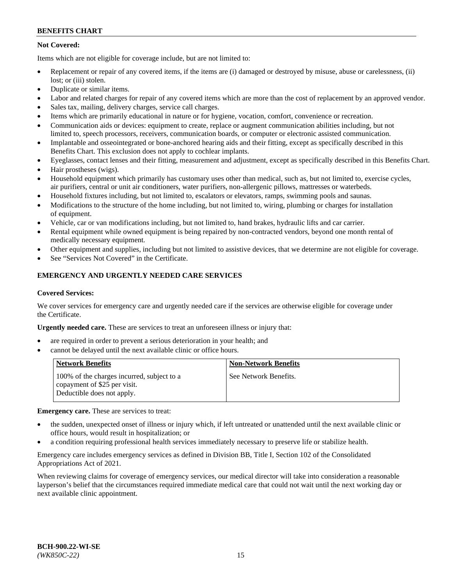## **Not Covered:**

Items which are not eligible for coverage include, but are not limited to:

- Replacement or repair of any covered items, if the items are (i) damaged or destroyed by misuse, abuse or carelessness, (ii) lost; or (iii) stolen.
- Duplicate or similar items.
- Labor and related charges for repair of any covered items which are more than the cost of replacement by an approved vendor.
- Sales tax, mailing, delivery charges, service call charges.
- Items which are primarily educational in nature or for hygiene, vocation, comfort, convenience or recreation.
- Communication aids or devices: equipment to create, replace or augment communication abilities including, but not limited to, speech processors, receivers, communication boards, or computer or electronic assisted communication.
- Implantable and osseointegrated or bone-anchored hearing aids and their fitting, except as specifically described in this Benefits Chart. This exclusion does not apply to cochlear implants.
- Eyeglasses, contact lenses and their fitting, measurement and adjustment, except as specifically described in this Benefits Chart.
- Hair prostheses (wigs).
- Household equipment which primarily has customary uses other than medical, such as, but not limited to, exercise cycles, air purifiers, central or unit air conditioners, water purifiers, non-allergenic pillows, mattresses or waterbeds.
- Household fixtures including, but not limited to, escalators or elevators, ramps, swimming pools and saunas.
- Modifications to the structure of the home including, but not limited to, wiring, plumbing or charges for installation of equipment.
- Vehicle, car or van modifications including, but not limited to, hand brakes, hydraulic lifts and car carrier.
- Rental equipment while owned equipment is being repaired by non-contracted vendors, beyond one month rental of medically necessary equipment.
- Other equipment and supplies, including but not limited to assistive devices, that we determine are not eligible for coverage.
- See "Services Not Covered" in the Certificate.

## **EMERGENCY AND URGENTLY NEEDED CARE SERVICES**

#### **Covered Services:**

We cover services for emergency care and urgently needed care if the services are otherwise eligible for coverage under the Certificate.

**Urgently needed care.** These are services to treat an unforeseen illness or injury that:

- are required in order to prevent a serious deterioration in your health; and
- cannot be delayed until the next available clinic or office hours.

| <b>Network Benefits</b>                                                                                  | <b>Non-Network Benefits</b> |
|----------------------------------------------------------------------------------------------------------|-----------------------------|
| 100% of the charges incurred, subject to a<br>copayment of \$25 per visit.<br>Deductible does not apply. | See Network Benefits.       |

**Emergency care.** These are services to treat:

- the sudden, unexpected onset of illness or injury which, if left untreated or unattended until the next available clinic or office hours, would result in hospitalization; or
- a condition requiring professional health services immediately necessary to preserve life or stabilize health.

Emergency care includes emergency services as defined in Division BB, Title I, Section 102 of the Consolidated Appropriations Act of 2021.

When reviewing claims for coverage of emergency services, our medical director will take into consideration a reasonable layperson's belief that the circumstances required immediate medical care that could not wait until the next working day or next available clinic appointment.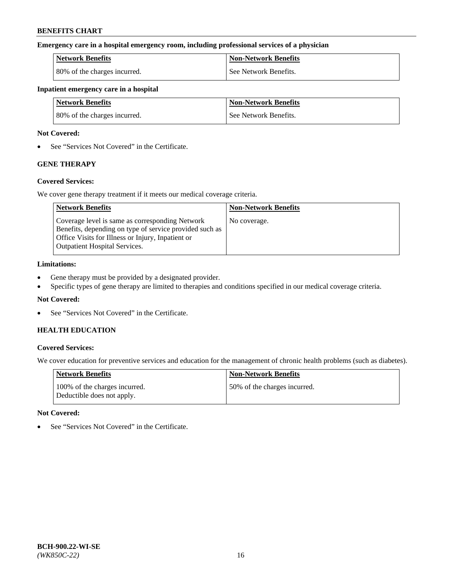### **Emergency care in a hospital emergency room, including professional services of a physician**

| <b>Network Benefits</b>      | <b>Non-Network Benefits</b> |
|------------------------------|-----------------------------|
| 80% of the charges incurred. | See Network Benefits.       |

#### **Inpatient emergency care in a hospital**

| <b>Network Benefits</b>      | <b>Non-Network Benefits</b> |
|------------------------------|-----------------------------|
| 80% of the charges incurred. | See Network Benefits.       |

### **Not Covered:**

• See "Services Not Covered" in the Certificate.

# **GENE THERAPY**

## **Covered Services:**

We cover gene therapy treatment if it meets our medical coverage criteria.

| <b>Network Benefits</b>                                                                                                                                                                                 | <b>Non-Network Benefits</b> |
|---------------------------------------------------------------------------------------------------------------------------------------------------------------------------------------------------------|-----------------------------|
| Coverage level is same as corresponding Network<br>Benefits, depending on type of service provided such as<br>Office Visits for Illness or Injury, Inpatient or<br><b>Outpatient Hospital Services.</b> | No coverage.                |

### **Limitations:**

- Gene therapy must be provided by a designated provider.
- Specific types of gene therapy are limited to therapies and conditions specified in our medical coverage criteria.

## **Not Covered:**

• See "Services Not Covered" in the Certificate.

## **HEALTH EDUCATION**

## **Covered Services:**

We cover education for preventive services and education for the management of chronic health problems (such as diabetes).

| <b>Network Benefits</b>                                     | <b>Non-Network Benefits</b>  |
|-------------------------------------------------------------|------------------------------|
| 100% of the charges incurred.<br>Deductible does not apply. | 50% of the charges incurred. |

#### **Not Covered:**

• See "Services Not Covered" in the Certificate.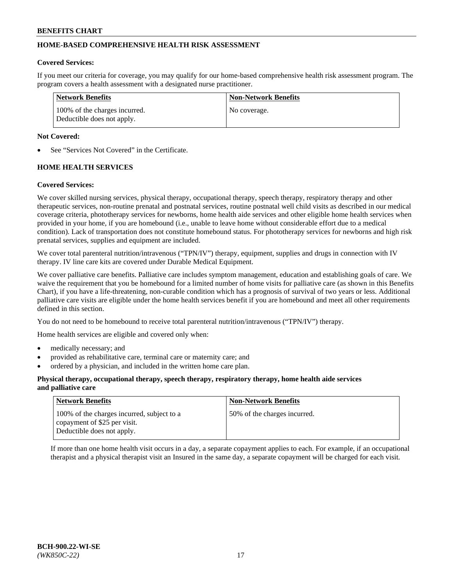## **HOME-BASED COMPREHENSIVE HEALTH RISK ASSESSMENT**

### **Covered Services:**

If you meet our criteria for coverage, you may qualify for our home-based comprehensive health risk assessment program. The program covers a health assessment with a designated nurse practitioner.

| Network Benefits                                            | <b>Non-Network Benefits</b> |
|-------------------------------------------------------------|-----------------------------|
| 100% of the charges incurred.<br>Deductible does not apply. | No coverage.                |

### **Not Covered:**

See "Services Not Covered" in the Certificate.

## **HOME HEALTH SERVICES**

### **Covered Services:**

We cover skilled nursing services, physical therapy, occupational therapy, speech therapy, respiratory therapy and other therapeutic services, non-routine prenatal and postnatal services, routine postnatal well child visits as described in our medical coverage criteria, phototherapy services for newborns, home health aide services and other eligible home health services when provided in your home, if you are homebound (i.e., unable to leave home without considerable effort due to a medical condition). Lack of transportation does not constitute homebound status. For phototherapy services for newborns and high risk prenatal services, supplies and equipment are included.

We cover total parenteral nutrition/intravenous ("TPN/IV") therapy, equipment, supplies and drugs in connection with IV therapy. IV line care kits are covered under Durable Medical Equipment.

We cover palliative care benefits. Palliative care includes symptom management, education and establishing goals of care. We waive the requirement that you be homebound for a limited number of home visits for palliative care (as shown in this Benefits Chart), if you have a life-threatening, non-curable condition which has a prognosis of survival of two years or less. Additional palliative care visits are eligible under the home health services benefit if you are homebound and meet all other requirements defined in this section.

You do not need to be homebound to receive total parenteral nutrition/intravenous ("TPN/IV") therapy.

Home health services are eligible and covered only when:

- medically necessary; and
- provided as rehabilitative care, terminal care or maternity care; and
- ordered by a physician, and included in the written home care plan.

### **Physical therapy, occupational therapy, speech therapy, respiratory therapy, home health aide services and palliative care**

| <b>Network Benefits</b>                                                                                  | <b>Non-Network Benefits</b>  |
|----------------------------------------------------------------------------------------------------------|------------------------------|
| 100% of the charges incurred, subject to a<br>copayment of \$25 per visit.<br>Deductible does not apply. | 50% of the charges incurred. |

If more than one home health visit occurs in a day, a separate copayment applies to each. For example, if an occupational therapist and a physical therapist visit an Insured in the same day, a separate copayment will be charged for each visit.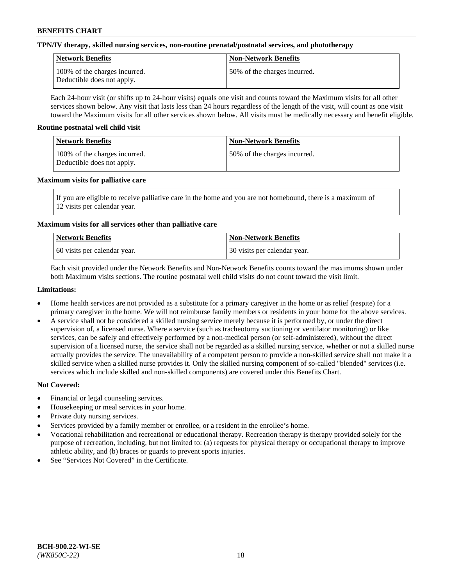## **TPN/IV therapy, skilled nursing services, non-routine prenatal/postnatal services, and phototherapy**

| Network Benefits                                            | <b>Non-Network Benefits</b>  |
|-------------------------------------------------------------|------------------------------|
| 100% of the charges incurred.<br>Deductible does not apply. | 50% of the charges incurred. |

Each 24-hour visit (or shifts up to 24-hour visits) equals one visit and counts toward the Maximum visits for all other services shown below. Any visit that lasts less than 24 hours regardless of the length of the visit, will count as one visit toward the Maximum visits for all other services shown below. All visits must be medically necessary and benefit eligible.

### **Routine postnatal well child visit**

| Network Benefits                                            | <b>Non-Network Benefits</b>  |
|-------------------------------------------------------------|------------------------------|
| 100% of the charges incurred.<br>Deductible does not apply. | 50% of the charges incurred. |

### **Maximum visits for palliative care**

If you are eligible to receive palliative care in the home and you are not homebound, there is a maximum of 12 visits per calendar year.

## **Maximum visits for all services other than palliative care**

| Network Benefits               | <b>Non-Network Benefits</b>  |
|--------------------------------|------------------------------|
| 1.60 visits per calendar year. | 30 visits per calendar year. |

Each visit provided under the Network Benefits and Non-Network Benefits counts toward the maximums shown under both Maximum visits sections. The routine postnatal well child visits do not count toward the visit limit.

### **Limitations:**

- Home health services are not provided as a substitute for a primary caregiver in the home or as relief (respite) for a primary caregiver in the home. We will not reimburse family members or residents in your home for the above services.
- A service shall not be considered a skilled nursing service merely because it is performed by, or under the direct supervision of, a licensed nurse. Where a service (such as tracheotomy suctioning or ventilator monitoring) or like services, can be safely and effectively performed by a non-medical person (or self-administered), without the direct supervision of a licensed nurse, the service shall not be regarded as a skilled nursing service, whether or not a skilled nurse actually provides the service. The unavailability of a competent person to provide a non-skilled service shall not make it a skilled service when a skilled nurse provides it. Only the skilled nursing component of so-called "blended" services (i.e. services which include skilled and non-skilled components) are covered under this Benefits Chart.

## **Not Covered:**

- Financial or legal counseling services.
- Housekeeping or meal services in your home.
- Private duty nursing services.
- Services provided by a family member or enrollee, or a resident in the enrollee's home.
- Vocational rehabilitation and recreational or educational therapy. Recreation therapy is therapy provided solely for the purpose of recreation, including, but not limited to: (a) requests for physical therapy or occupational therapy to improve athletic ability, and (b) braces or guards to prevent sports injuries.
- See "Services Not Covered" in the Certificate.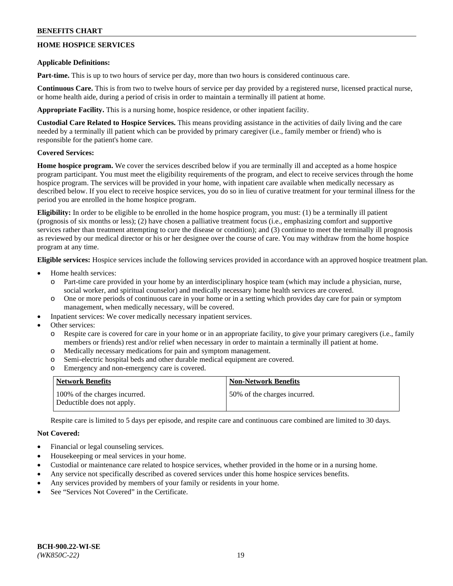## **HOME HOSPICE SERVICES**

### **Applicable Definitions:**

**Part-time.** This is up to two hours of service per day, more than two hours is considered continuous care.

**Continuous Care.** This is from two to twelve hours of service per day provided by a registered nurse, licensed practical nurse, or home health aide, during a period of crisis in order to maintain a terminally ill patient at home.

**Appropriate Facility.** This is a nursing home, hospice residence, or other inpatient facility.

**Custodial Care Related to Hospice Services.** This means providing assistance in the activities of daily living and the care needed by a terminally ill patient which can be provided by primary caregiver (i.e., family member or friend) who is responsible for the patient's home care.

## **Covered Services:**

**Home hospice program.** We cover the services described below if you are terminally ill and accepted as a home hospice program participant. You must meet the eligibility requirements of the program, and elect to receive services through the home hospice program. The services will be provided in your home, with inpatient care available when medically necessary as described below. If you elect to receive hospice services, you do so in lieu of curative treatment for your terminal illness for the period you are enrolled in the home hospice program.

**Eligibility:** In order to be eligible to be enrolled in the home hospice program, you must: (1) be a terminally ill patient (prognosis of six months or less); (2) have chosen a palliative treatment focus (i.e., emphasizing comfort and supportive services rather than treatment attempting to cure the disease or condition); and (3) continue to meet the terminally ill prognosis as reviewed by our medical director or his or her designee over the course of care. You may withdraw from the home hospice program at any time.

**Eligible services:** Hospice services include the following services provided in accordance with an approved hospice treatment plan.

- Home health services:
	- Part-time care provided in your home by an interdisciplinary hospice team (which may include a physician, nurse, social worker, and spiritual counselor) and medically necessary home health services are covered.
	- o One or more periods of continuous care in your home or in a setting which provides day care for pain or symptom management, when medically necessary, will be covered.
	- Inpatient services: We cover medically necessary inpatient services.
- Other services:
	- Respite care is covered for care in your home or in an appropriate facility, to give your primary caregivers (i.e., family members or friends) rest and/or relief when necessary in order to maintain a terminally ill patient at home.
	- o Medically necessary medications for pain and symptom management.
	- o Semi-electric hospital beds and other durable medical equipment are covered.
	- o Emergency and non-emergency care is covered.

| Network Benefits                                            | <b>Non-Network Benefits</b>  |
|-------------------------------------------------------------|------------------------------|
| 100% of the charges incurred.<br>Deductible does not apply. | 50% of the charges incurred. |

Respite care is limited to 5 days per episode, and respite care and continuous care combined are limited to 30 days.

## **Not Covered:**

- Financial or legal counseling services.
- Housekeeping or meal services in your home.
- Custodial or maintenance care related to hospice services, whether provided in the home or in a nursing home.
- Any service not specifically described as covered services under this home hospice services benefits.
- Any services provided by members of your family or residents in your home.
- See "Services Not Covered" in the Certificate.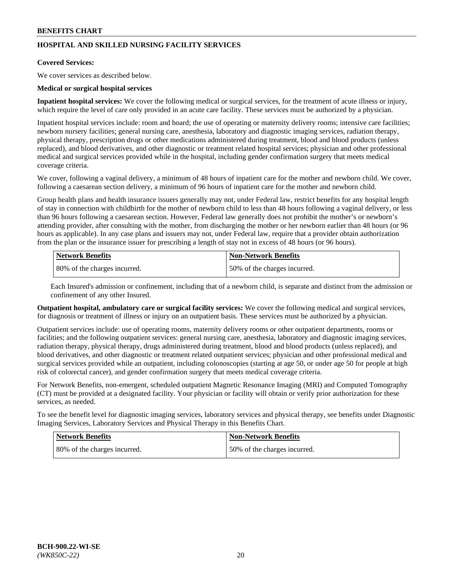## **HOSPITAL AND SKILLED NURSING FACILITY SERVICES**

#### **Covered Services:**

We cover services as described below.

### **Medical or surgical hospital services**

**Inpatient hospital services:** We cover the following medical or surgical services, for the treatment of acute illness or injury, which require the level of care only provided in an acute care facility. These services must be authorized by a physician.

Inpatient hospital services include: room and board; the use of operating or maternity delivery rooms; intensive care facilities; newborn nursery facilities; general nursing care, anesthesia, laboratory and diagnostic imaging services, radiation therapy, physical therapy, prescription drugs or other medications administered during treatment, blood and blood products (unless replaced), and blood derivatives, and other diagnostic or treatment related hospital services; physician and other professional medical and surgical services provided while in the hospital, including gender confirmation surgery that meets medical coverage criteria.

We cover, following a vaginal delivery, a minimum of 48 hours of inpatient care for the mother and newborn child. We cover, following a caesarean section delivery, a minimum of 96 hours of inpatient care for the mother and newborn child.

Group health plans and health insurance issuers generally may not, under Federal law, restrict benefits for any hospital length of stay in connection with childbirth for the mother of newborn child to less than 48 hours following a vaginal delivery, or less than 96 hours following a caesarean section. However, Federal law generally does not prohibit the mother's or newborn's attending provider, after consulting with the mother, from discharging the mother or her newborn earlier than 48 hours (or 96 hours as applicable). In any case plans and issuers may not, under Federal law, require that a provider obtain authorization from the plan or the insurance issuer for prescribing a length of stay not in excess of 48 hours (or 96 hours).

| <b>Network Benefits</b>      | Non-Network Benefits         |
|------------------------------|------------------------------|
| 80% of the charges incurred. | 50% of the charges incurred. |

Each Insured's admission or confinement, including that of a newborn child, is separate and distinct from the admission or confinement of any other Insured.

**Outpatient hospital, ambulatory care or surgical facility services:** We cover the following medical and surgical services, for diagnosis or treatment of illness or injury on an outpatient basis. These services must be authorized by a physician.

Outpatient services include: use of operating rooms, maternity delivery rooms or other outpatient departments, rooms or facilities; and the following outpatient services: general nursing care, anesthesia, laboratory and diagnostic imaging services, radiation therapy, physical therapy, drugs administered during treatment, blood and blood products (unless replaced), and blood derivatives, and other diagnostic or treatment related outpatient services; physician and other professional medical and surgical services provided while an outpatient, including colonoscopies (starting at age 50, or under age 50 for people at high risk of colorectal cancer), and gender confirmation surgery that meets medical coverage criteria.

For Network Benefits, non-emergent, scheduled outpatient Magnetic Resonance Imaging (MRI) and Computed Tomography (CT) must be provided at a designated facility. Your physician or facility will obtain or verify prior authorization for these services, as needed.

To see the benefit level for diagnostic imaging services, laboratory services and physical therapy, see benefits under Diagnostic Imaging Services, Laboratory Services and Physical Therapy in this Benefits Chart.

| <b>Network Benefits</b>      | <b>Non-Network Benefits</b>   |
|------------------------------|-------------------------------|
| 80% of the charges incurred. | 150% of the charges incurred. |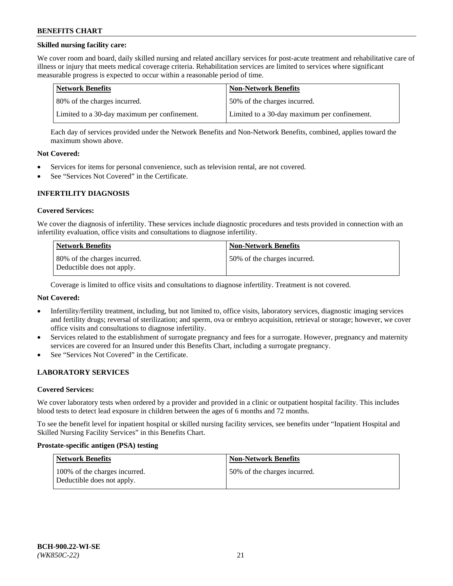## **Skilled nursing facility care:**

We cover room and board, daily skilled nursing and related ancillary services for post-acute treatment and rehabilitative care of illness or injury that meets medical coverage criteria. Rehabilitation services are limited to services where significant measurable progress is expected to occur within a reasonable period of time.

| Network Benefits                             | <b>Non-Network Benefits</b>                  |
|----------------------------------------------|----------------------------------------------|
| 80% of the charges incurred.                 | 50% of the charges incurred.                 |
| Limited to a 30-day maximum per confinement. | Limited to a 30-day maximum per confinement. |

Each day of services provided under the Network Benefits and Non-Network Benefits, combined, applies toward the maximum shown above.

### **Not Covered:**

- Services for items for personal convenience, such as television rental, are not covered.
- See "Services Not Covered" in the Certificate.

### **INFERTILITY DIAGNOSIS**

#### **Covered Services:**

We cover the diagnosis of infertility. These services include diagnostic procedures and tests provided in connection with an infertility evaluation, office visits and consultations to diagnose infertility.

| <b>Network Benefits</b>                                    | <b>Non-Network Benefits</b>  |
|------------------------------------------------------------|------------------------------|
| 80% of the charges incurred.<br>Deductible does not apply. | 50% of the charges incurred. |

Coverage is limited to office visits and consultations to diagnose infertility. Treatment is not covered.

## **Not Covered:**

- Infertility/fertility treatment, including, but not limited to, office visits, laboratory services, diagnostic imaging services and fertility drugs; reversal of sterilization; and sperm, ova or embryo acquisition, retrieval or storage; however, we cover office visits and consultations to diagnose infertility.
- Services related to the establishment of surrogate pregnancy and fees for a surrogate. However, pregnancy and maternity services are covered for an Insured under this Benefits Chart, including a surrogate pregnancy.
- See "Services Not Covered" in the Certificate.

## **LABORATORY SERVICES**

#### **Covered Services:**

We cover laboratory tests when ordered by a provider and provided in a clinic or outpatient hospital facility. This includes blood tests to detect lead exposure in children between the ages of 6 months and 72 months.

To see the benefit level for inpatient hospital or skilled nursing facility services, see benefits under "Inpatient Hospital and Skilled Nursing Facility Services" in this Benefits Chart.

#### **Prostate-specific antigen (PSA) testing**

| <b>Network Benefits</b>                                     | <b>Non-Network Benefits</b>  |
|-------------------------------------------------------------|------------------------------|
| 100% of the charges incurred.<br>Deductible does not apply. | 50% of the charges incurred. |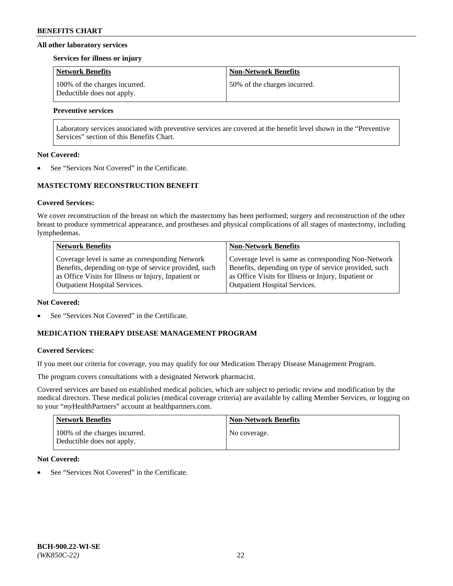### **All other laboratory services**

#### **Services for illness or injury**

| <b>Network Benefits</b>                                     | <b>Non-Network Benefits</b>  |
|-------------------------------------------------------------|------------------------------|
| 100% of the charges incurred.<br>Deductible does not apply. | 50% of the charges incurred. |

## **Preventive services**

Laboratory services associated with preventive services are covered at the benefit level shown in the "Preventive Services" section of this Benefits Chart.

### **Not Covered:**

See "Services Not Covered" in the Certificate.

## **MASTECTOMY RECONSTRUCTION BENEFIT**

### **Covered Services:**

We cover reconstruction of the breast on which the mastectomy has been performed; surgery and reconstruction of the other breast to produce symmetrical appearance, and prostheses and physical complications of all stages of mastectomy, including lymphedemas.

| <b>Network Benefits</b>                               | <b>Non-Network Benefits</b>                           |
|-------------------------------------------------------|-------------------------------------------------------|
| Coverage level is same as corresponding Network       | Coverage level is same as corresponding Non-Network   |
| Benefits, depending on type of service provided, such | Benefits, depending on type of service provided, such |
| as Office Visits for Illness or Injury, Inpatient or  | as Office Visits for Illness or Injury, Inpatient or  |
| <b>Outpatient Hospital Services.</b>                  | Outpatient Hospital Services.                         |

#### **Not Covered:**

See "Services Not Covered" in the Certificate.

## **MEDICATION THERAPY DISEASE MANAGEMENT PROGRAM**

## **Covered Services:**

If you meet our criteria for coverage, you may qualify for our Medication Therapy Disease Management Program.

The program covers consultations with a designated Network pharmacist.

Covered services are based on established medical policies, which are subject to periodic review and modification by the medical directors. These medical policies (medical coverage criteria) are available by calling Member Services, or logging on to your "*my*HealthPartners" account at [healthpartners.com.](http://www.healthpartners.com/)

| <b>Network Benefits</b>                                     | <b>Non-Network Benefits</b> |
|-------------------------------------------------------------|-----------------------------|
| 100% of the charges incurred.<br>Deductible does not apply. | No coverage.                |

## **Not Covered:**

See "Services Not Covered" in the Certificate.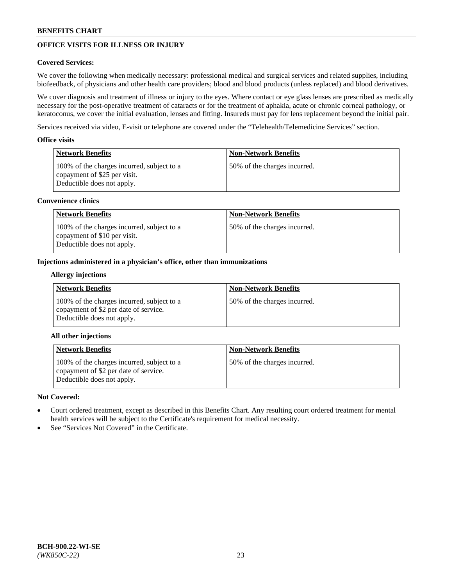# **OFFICE VISITS FOR ILLNESS OR INJURY**

## **Covered Services:**

We cover the following when medically necessary: professional medical and surgical services and related supplies, including biofeedback, of physicians and other health care providers; blood and blood products (unless replaced) and blood derivatives.

We cover diagnosis and treatment of illness or injury to the eyes. Where contact or eye glass lenses are prescribed as medically necessary for the post-operative treatment of cataracts or for the treatment of aphakia, acute or chronic corneal pathology, or keratoconus, we cover the initial evaluation, lenses and fitting. Insureds must pay for lens replacement beyond the initial pair.

Services received via video, E-visit or telephone are covered under the "Telehealth/Telemedicine Services" section.

### **Office visits**

| Network Benefits                                                                                         | <b>Non-Network Benefits</b>  |
|----------------------------------------------------------------------------------------------------------|------------------------------|
| 100% of the charges incurred, subject to a<br>copayment of \$25 per visit.<br>Deductible does not apply. | 50% of the charges incurred. |

### **Convenience clinics**

| Network Benefits                                                                                         | <b>Non-Network Benefits</b>  |
|----------------------------------------------------------------------------------------------------------|------------------------------|
| 100% of the charges incurred, subject to a<br>copayment of \$10 per visit.<br>Deductible does not apply. | 50% of the charges incurred. |

### **Injections administered in a physician's office, other than immunizations**

#### **Allergy injections**

| <b>Network Benefits</b>                                                                                           | <b>Non-Network Benefits</b>  |
|-------------------------------------------------------------------------------------------------------------------|------------------------------|
| 100% of the charges incurred, subject to a<br>copayment of \$2 per date of service.<br>Deductible does not apply. | 50% of the charges incurred. |

## **All other injections**

| <b>Network Benefits</b>                                                                                           | <b>Non-Network Benefits</b>  |
|-------------------------------------------------------------------------------------------------------------------|------------------------------|
| 100% of the charges incurred, subject to a<br>copayment of \$2 per date of service.<br>Deductible does not apply. | 50% of the charges incurred. |

## **Not Covered:**

- Court ordered treatment, except as described in this Benefits Chart. Any resulting court ordered treatment for mental health services will be subject to the Certificate's requirement for medical necessity.
- See "Services Not Covered" in the Certificate.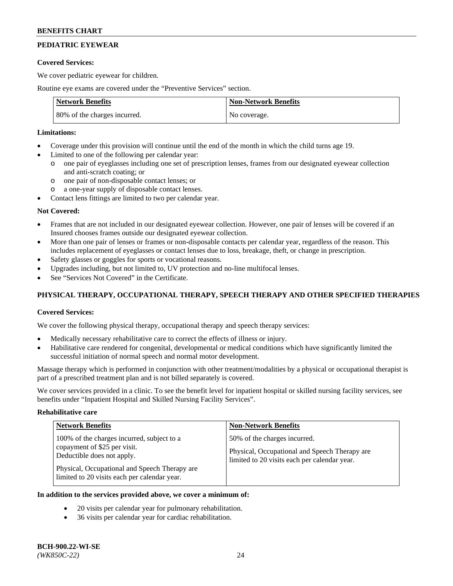# **PEDIATRIC EYEWEAR**

### **Covered Services:**

We cover pediatric eyewear for children.

Routine eye exams are covered under the "Preventive Services" section.

| <b>Network Benefits</b>      | <b>Non-Network Benefits</b> |
|------------------------------|-----------------------------|
| 80% of the charges incurred. | No coverage.                |

### **Limitations:**

- Coverage under this provision will continue until the end of the month in which the child turns age 19.
- Limited to one of the following per calendar year:
	- o one pair of eyeglasses including one set of prescription lenses, frames from our designated eyewear collection and anti-scratch coating; or
	- o one pair of non-disposable contact lenses; or
	- o a one-year supply of disposable contact lenses.
- Contact lens fittings are limited to two per calendar year.

## **Not Covered:**

- Frames that are not included in our designated eyewear collection. However, one pair of lenses will be covered if an Insured chooses frames outside our designated eyewear collection.
- More than one pair of lenses or frames or non-disposable contacts per calendar year, regardless of the reason. This includes replacement of eyeglasses or contact lenses due to loss, breakage, theft, or change in prescription.
- Safety glasses or goggles for sports or vocational reasons.
- Upgrades including, but not limited to, UV protection and no-line multifocal lenses.
- See "Services Not Covered" in the Certificate.

## **PHYSICAL THERAPY, OCCUPATIONAL THERAPY, SPEECH THERAPY AND OTHER SPECIFIED THERAPIES**

## **Covered Services:**

We cover the following physical therapy, occupational therapy and speech therapy services:

- Medically necessary rehabilitative care to correct the effects of illness or injury.
- Habilitative care rendered for congenital, developmental or medical conditions which have significantly limited the successful initiation of normal speech and normal motor development.

Massage therapy which is performed in conjunction with other treatment/modalities by a physical or occupational therapist is part of a prescribed treatment plan and is not billed separately is covered.

We cover services provided in a clinic. To see the benefit level for inpatient hospital or skilled nursing facility services, see benefits under "Inpatient Hospital and Skilled Nursing Facility Services".

#### **Rehabilitative care**

| <b>Network Benefits</b>                                                                                                                                                                                   | <b>Non-Network Benefits</b>                                                                                                   |
|-----------------------------------------------------------------------------------------------------------------------------------------------------------------------------------------------------------|-------------------------------------------------------------------------------------------------------------------------------|
| 100% of the charges incurred, subject to a<br>copayment of \$25 per visit.<br>Deductible does not apply.<br>Physical, Occupational and Speech Therapy are<br>limited to 20 visits each per calendar year. | 50% of the charges incurred.<br>Physical, Occupational and Speech Therapy are<br>limited to 20 visits each per calendar year. |

## **In addition to the services provided above, we cover a minimum of:**

- 20 visits per calendar year for pulmonary rehabilitation.
- 36 visits per calendar year for cardiac rehabilitation.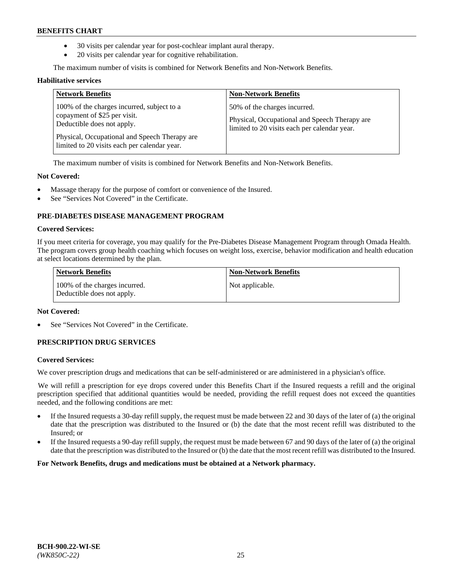- 30 visits per calendar year for post-cochlear implant aural therapy.
- 20 visits per calendar year for cognitive rehabilitation.

The maximum number of visits is combined for Network Benefits and Non-Network Benefits.

#### **Habilitative services**

| <b>Network Benefits</b>                                                                                                                                                                                   | <b>Non-Network Benefits</b>                                                                                                   |
|-----------------------------------------------------------------------------------------------------------------------------------------------------------------------------------------------------------|-------------------------------------------------------------------------------------------------------------------------------|
| 100% of the charges incurred, subject to a<br>copayment of \$25 per visit.<br>Deductible does not apply.<br>Physical, Occupational and Speech Therapy are<br>limited to 20 visits each per calendar year. | 50% of the charges incurred.<br>Physical, Occupational and Speech Therapy are<br>limited to 20 visits each per calendar year. |

The maximum number of visits is combined for Network Benefits and Non-Network Benefits.

### **Not Covered:**

- Massage therapy for the purpose of comfort or convenience of the Insured.
- See "Services Not Covered" in the Certificate.

## **PRE-DIABETES DISEASE MANAGEMENT PROGRAM**

#### **Covered Services:**

If you meet criteria for coverage, you may qualify for the Pre-Diabetes Disease Management Program through Omada Health. The program covers group health coaching which focuses on weight loss, exercise, behavior modification and health education at select locations determined by the plan.

| <b>Network Benefits</b>                                     | <b>Non-Network Benefits</b> |
|-------------------------------------------------------------|-----------------------------|
| 100% of the charges incurred.<br>Deductible does not apply. | Not applicable.             |

## **Not Covered:**

See "Services Not Covered" in the Certificate.

## **PRESCRIPTION DRUG SERVICES**

#### **Covered Services:**

We cover prescription drugs and medications that can be self-administered or are administered in a physician's office.

We will refill a prescription for eye drops covered under this Benefits Chart if the Insured requests a refill and the original prescription specified that additional quantities would be needed, providing the refill request does not exceed the quantities needed, and the following conditions are met:

- If the Insured requests a 30-day refill supply, the request must be made between 22 and 30 days of the later of (a) the original date that the prescription was distributed to the Insured or (b) the date that the most recent refill was distributed to the Insured; or
- If the Insured requests a 90-day refill supply, the request must be made between 67 and 90 days of the later of (a) the original date that the prescription was distributed to the Insured or (b) the date that the most recent refill was distributed to the Insured.

**For Network Benefits, drugs and medications must be obtained at a Network pharmacy.**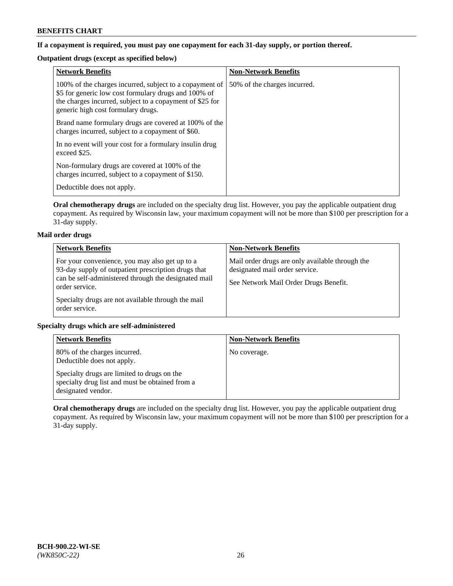## **If a copayment is required, you must pay one copayment for each 31-day supply, or portion thereof.**

# **Outpatient drugs (except as specified below)**

| <b>Network Benefits</b>                                                                                                                                                                                           | <b>Non-Network Benefits</b>  |
|-------------------------------------------------------------------------------------------------------------------------------------------------------------------------------------------------------------------|------------------------------|
| 100% of the charges incurred, subject to a copayment of<br>\$5 for generic low cost formulary drugs and 100% of<br>the charges incurred, subject to a copayment of \$25 for<br>generic high cost formulary drugs. | 50% of the charges incurred. |
| Brand name formulary drugs are covered at 100% of the<br>charges incurred, subject to a copayment of \$60.                                                                                                        |                              |
| In no event will your cost for a formulary insulin drug<br>exceed \$25.                                                                                                                                           |                              |
| Non-formulary drugs are covered at 100% of the<br>charges incurred, subject to a copayment of \$150.                                                                                                              |                              |
| Deductible does not apply.                                                                                                                                                                                        |                              |

**Oral chemotherapy drugs** are included on the specialty drug list. However, you pay the applicable outpatient drug copayment. As required by Wisconsin law, your maximum copayment will not be more than \$100 per prescription for a 31-day supply.

## **Mail order drugs**

| <b>Network Benefits</b>                                                                                                                                                         | <b>Non-Network Benefits</b>                                                                                                |
|---------------------------------------------------------------------------------------------------------------------------------------------------------------------------------|----------------------------------------------------------------------------------------------------------------------------|
| For your convenience, you may also get up to a<br>93-day supply of outpatient prescription drugs that<br>can be self-administered through the designated mail<br>order service. | Mail order drugs are only available through the<br>designated mail order service.<br>See Network Mail Order Drugs Benefit. |
| Specialty drugs are not available through the mail<br>order service.                                                                                                            |                                                                                                                            |

## **Specialty drugs which are self-administered**

| <b>Network Benefits</b>                                                                                              | <b>Non-Network Benefits</b> |
|----------------------------------------------------------------------------------------------------------------------|-----------------------------|
| 80% of the charges incurred.<br>Deductible does not apply.                                                           | No coverage.                |
| Specialty drugs are limited to drugs on the<br>specialty drug list and must be obtained from a<br>designated vendor. |                             |

**Oral chemotherapy drugs** are included on the specialty drug list. However, you pay the applicable outpatient drug copayment. As required by Wisconsin law, your maximum copayment will not be more than \$100 per prescription for a 31-day supply.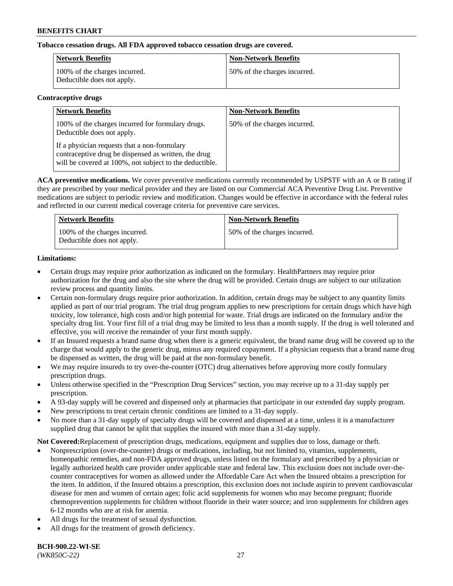## **Tobacco cessation drugs. All FDA approved tobacco cessation drugs are covered.**

| Network Benefits                                            | <b>Non-Network Benefits</b>  |
|-------------------------------------------------------------|------------------------------|
| 100% of the charges incurred.<br>Deductible does not apply. | 50% of the charges incurred. |

### **Contraceptive drugs**

| <b>Network Benefits</b>                                                                                                                                         | <b>Non-Network Benefits</b>  |
|-----------------------------------------------------------------------------------------------------------------------------------------------------------------|------------------------------|
| 100% of the charges incurred for formulary drugs.<br>Deductible does not apply.                                                                                 | 50% of the charges incurred. |
| If a physician requests that a non-formulary<br>contraceptive drug be dispensed as written, the drug<br>will be covered at 100%, not subject to the deductible. |                              |

**ACA preventive medications.** We cover preventive medications currently recommended by USPSTF with an A or B rating if they are prescribed by your medical provider and they are listed on our Commercial ACA Preventive Drug List. Preventive medications are subject to periodic review and modification. Changes would be effective in accordance with the federal rules and reflected in our current medical coverage criteria for preventive care services.

| <b>Network Benefits</b>                                     | <b>Non-Network Benefits</b>  |
|-------------------------------------------------------------|------------------------------|
| 100% of the charges incurred.<br>Deductible does not apply. | 50% of the charges incurred. |

## **Limitations:**

- Certain drugs may require prior authorization as indicated on the formulary. HealthPartners may require prior authorization for the drug and also the site where the drug will be provided. Certain drugs are subject to our utilization review process and quantity limits.
- Certain non-formulary drugs require prior authorization. In addition, certain drugs may be subject to any quantity limits applied as part of our trial program. The trial drug program applies to new prescriptions for certain drugs which have high toxicity, low tolerance, high costs and/or high potential for waste. Trial drugs are indicated on the formulary and/or the specialty drug list. Your first fill of a trial drug may be limited to less than a month supply. If the drug is well tolerated and effective, you will receive the remainder of your first month supply.
- If an Insured requests a brand name drug when there is a generic equivalent, the brand name drug will be covered up to the charge that would apply to the generic drug, minus any required copayment. If a physician requests that a brand name drug be dispensed as written, the drug will be paid at the non-formulary benefit.
- We may require insureds to try over-the-counter (OTC) drug alternatives before approving more costly formulary prescription drugs.
- Unless otherwise specified in the "Prescription Drug Services" section, you may receive up to a 31-day supply per prescription.
- A 93-day supply will be covered and dispensed only at pharmacies that participate in our extended day supply program.
- New prescriptions to treat certain chronic conditions are limited to a 31-day supply.
- No more than a 31-day supply of specialty drugs will be covered and dispensed at a time, unless it is a manufacturer supplied drug that cannot be split that supplies the insured with more than a 31-day supply.

**Not Covered:**Replacement of prescription drugs, medications, equipment and supplies due to loss, damage or theft.

- Nonprescription (over-the-counter) drugs or medications, including, but not limited to, vitamins, supplements, homeopathic remedies, and non-FDA approved drugs, unless listed on the formulary and prescribed by a physician or legally authorized health care provider under applicable state and federal law. This exclusion does not include over-thecounter contraceptives for women as allowed under the Affordable Care Act when the Insured obtains a prescription for the item. In addition, if the Insured obtains a prescription, this exclusion does not include aspirin to prevent cardiovascular disease for men and women of certain ages; folic acid supplements for women who may become pregnant; fluoride chemoprevention supplements for children without fluoride in their water source; and iron supplements for children ages 6-12 months who are at risk for anemia.
- All drugs for the treatment of sexual dysfunction.
- All drugs for the treatment of growth deficiency.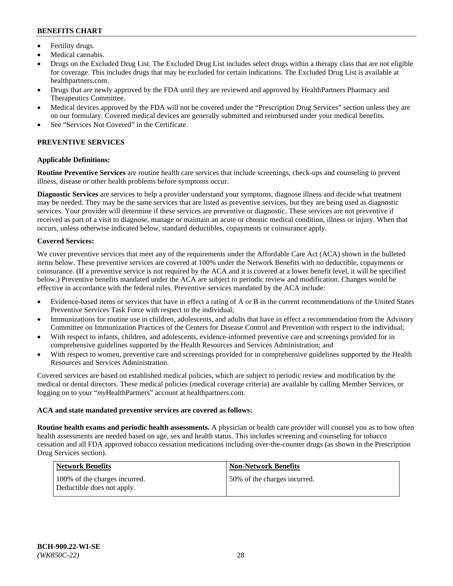- Fertility drugs.
- Medical cannabis.
- Drugs on the Excluded Drug List. The Excluded Drug List includes select drugs within a therapy class that are not eligible for coverage. This includes drugs that may be excluded for certain indications. The Excluded Drug List is available at [healthpartners.com.](http://www.healthpartners.com/)
- Drugs that are newly approved by the FDA until they are reviewed and approved by HealthPartners Pharmacy and Therapeutics Committee.
- Medical devices approved by the FDA will not be covered under the "Prescription Drug Services" section unless they are on our formulary. Covered medical devices are generally submitted and reimbursed under your medical benefits.
- See "Services Not Covered" in the Certificate.

# **PREVENTIVE SERVICES**

### **Applicable Definitions:**

**Routine Preventive Services** are routine health care services that include screenings, check-ups and counseling to prevent illness, disease or other health problems before symptoms occur.

**Diagnostic Services** are services to help a provider understand your symptoms, diagnose illness and decide what treatment may be needed. They may be the same services that are listed as preventive services, but they are being used as diagnostic services. Your provider will determine if these services are preventive or diagnostic. These services are not preventive if received as part of a visit to diagnose, manage or maintain an acute or chronic medical condition, illness or injury. When that occurs, unless otherwise indicated below, standard deductibles, copayments or coinsurance apply.

### **Covered Services:**

We cover preventive services that meet any of the requirements under the Affordable Care Act (ACA) shown in the bulleted items below. These preventive services are covered at 100% under the Network Benefits with no deductible, copayments or coinsurance. (If a preventive service is not required by the ACA and it is covered at a lower benefit level, it will be specified below.) Preventive benefits mandated under the ACA are subject to periodic review and modification. Changes would be effective in accordance with the federal rules. Preventive services mandated by the ACA include:

- Evidence-based items or services that have in effect a rating of A or B in the current recommendations of the United States Preventive Services Task Force with respect to the individual;
- Immunizations for routine use in children, adolescents, and adults that have in effect a recommendation from the Advisory Committee on Immunization Practices of the Centers for Disease Control and Prevention with respect to the individual;
- With respect to infants, children, and adolescents, evidence-informed preventive care and screenings provided for in comprehensive guidelines supported by the Health Resources and Services Administration; and
- With respect to women, preventive care and screenings provided for in comprehensive guidelines supported by the Health Resources and Services Administration.

Covered services are based on established medical policies, which are subject to periodic review and modification by the medical or dental directors. These medical policies (medical coverage criteria) are available by calling Member Services, or logging on to your "*my*HealthPartners" account at [healthpartners.com.](https://www.healthpartners.com/hp/index.html)

#### **ACA and state mandated preventive services are covered as follows:**

**Routine health exams and periodic health assessments.** A physician or health care provider will counsel you as to how often health assessments are needed based on age, sex and health status. This includes screening and counseling for tobacco cessation and all FDA approved tobacco cessation medications including over-the-counter drugs (as shown in the Prescription Drug Services section).

| <b>Network Benefits</b>                                     | <b>Non-Network Benefits</b>  |
|-------------------------------------------------------------|------------------------------|
| 100% of the charges incurred.<br>Deductible does not apply. | 50% of the charges incurred. |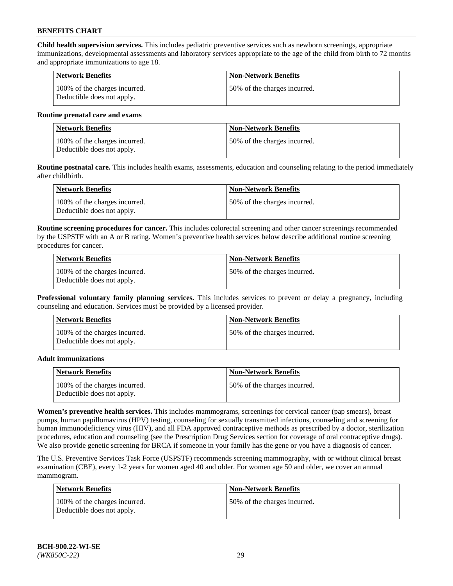**Child health supervision services.** This includes pediatric preventive services such as newborn screenings, appropriate immunizations, developmental assessments and laboratory services appropriate to the age of the child from birth to 72 months and appropriate immunizations to age 18.

| Network Benefits                                            | <b>Non-Network Benefits</b>  |
|-------------------------------------------------------------|------------------------------|
| 100% of the charges incurred.<br>Deductible does not apply. | 50% of the charges incurred. |

#### **Routine prenatal care and exams**

| Network Benefits                                            | <b>Non-Network Benefits</b>  |
|-------------------------------------------------------------|------------------------------|
| 100% of the charges incurred.<br>Deductible does not apply. | 50% of the charges incurred. |

**Routine postnatal care.** This includes health exams, assessments, education and counseling relating to the period immediately after childbirth.

| <b>Network Benefits</b>                                     | <b>Non-Network Benefits</b>  |
|-------------------------------------------------------------|------------------------------|
| 100% of the charges incurred.<br>Deductible does not apply. | 50% of the charges incurred. |

**Routine screening procedures for cancer.** This includes colorectal screening and other cancer screenings recommended by the USPSTF with an A or B rating. Women's preventive health services below describe additional routine screening procedures for cancer.

| Network Benefits                                            | <b>Non-Network Benefits</b>  |
|-------------------------------------------------------------|------------------------------|
| 100% of the charges incurred.<br>Deductible does not apply. | 50% of the charges incurred. |

**Professional voluntary family planning services.** This includes services to prevent or delay a pregnancy, including counseling and education. Services must be provided by a licensed provider.

| <b>Network Benefits</b>                                     | <b>Non-Network Benefits</b>  |
|-------------------------------------------------------------|------------------------------|
| 100% of the charges incurred.<br>Deductible does not apply. | 50% of the charges incurred. |

#### **Adult immunizations**

| <b>Network Benefits</b>                                     | <b>Non-Network Benefits</b>  |
|-------------------------------------------------------------|------------------------------|
| 100% of the charges incurred.<br>Deductible does not apply. | 50% of the charges incurred. |

**Women's preventive health services.** This includes mammograms, screenings for cervical cancer (pap smears), breast pumps, human papillomavirus (HPV) testing, counseling for sexually transmitted infections, counseling and screening for human immunodeficiency virus (HIV), and all FDA approved contraceptive methods as prescribed by a doctor, sterilization procedures, education and counseling (see the Prescription Drug Services section for coverage of oral contraceptive drugs). We also provide genetic screening for BRCA if someone in your family has the gene or you have a diagnosis of cancer.

The U.S. Preventive Services Task Force (USPSTF) recommends screening mammography, with or without clinical breast examination (CBE), every 1-2 years for women aged 40 and older. For women age 50 and older, we cover an annual mammogram.

| <b>Network Benefits</b>                                     | <b>Non-Network Benefits</b>   |
|-------------------------------------------------------------|-------------------------------|
| 100% of the charges incurred.<br>Deductible does not apply. | 150% of the charges incurred. |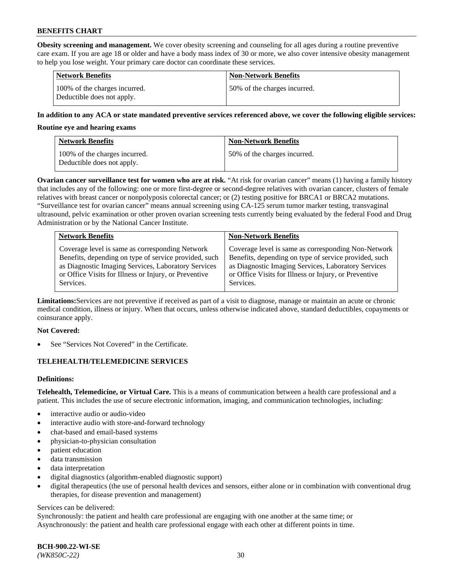**Obesity screening and management.** We cover obesity screening and counseling for all ages during a routine preventive care exam. If you are age 18 or older and have a body mass index of 30 or more, we also cover intensive obesity management to help you lose weight. Your primary care doctor can coordinate these services.

| <b>Network Benefits</b>                                     | <b>Non-Network Benefits</b>  |
|-------------------------------------------------------------|------------------------------|
| 100% of the charges incurred.<br>Deductible does not apply. | 50% of the charges incurred. |

### **In addition to any ACA or state mandated preventive services referenced above, we cover the following eligible services:**

#### **Routine eye and hearing exams**

| <b>Network Benefits</b>                                     | <b>Non-Network Benefits</b>  |
|-------------------------------------------------------------|------------------------------|
| 100% of the charges incurred.<br>Deductible does not apply. | 50% of the charges incurred. |

**Ovarian cancer surveillance test for women who are at risk.** "At risk for ovarian cancer" means (1) having a family history that includes any of the following: one or more first-degree or second-degree relatives with ovarian cancer, clusters of female relatives with breast cancer or nonpolyposis colorectal cancer; or (2) testing positive for BRCA1 or BRCA2 mutations. "Surveillance test for ovarian cancer" means annual screening using CA-125 serum tumor marker testing, transvaginal ultrasound, pelvic examination or other proven ovarian screening tests currently being evaluated by the federal Food and Drug Administration or by the National Cancer Institute.

| <b>Network Benefits</b>                               | <b>Non-Network Benefits</b>                           |
|-------------------------------------------------------|-------------------------------------------------------|
| Coverage level is same as corresponding Network       | Coverage level is same as corresponding Non-Network   |
| Benefits, depending on type of service provided, such | Benefits, depending on type of service provided, such |
| as Diagnostic Imaging Services, Laboratory Services   | as Diagnostic Imaging Services, Laboratory Services   |
| or Office Visits for Illness or Injury, or Preventive | or Office Visits for Illness or Injury, or Preventive |
| Services.                                             | Services.                                             |

**Limitations:**Services are not preventive if received as part of a visit to diagnose, manage or maintain an acute or chronic medical condition, illness or injury. When that occurs, unless otherwise indicated above, standard deductibles, copayments or coinsurance apply.

#### **Not Covered:**

See "Services Not Covered" in the Certificate.

## **TELEHEALTH/TELEMEDICINE SERVICES**

## **Definitions:**

**Telehealth, Telemedicine, or Virtual Care.** This is a means of communication between a health care professional and a patient. This includes the use of secure electronic information, imaging, and communication technologies, including:

- interactive audio or audio-video
- interactive audio with store-and-forward technology
- chat-based and email-based systems
- physician-to-physician consultation
- patient education
- data transmission
- data interpretation
- digital diagnostics (algorithm-enabled diagnostic support)
- digital therapeutics (the use of personal health devices and sensors, either alone or in combination with conventional drug therapies, for disease prevention and management)

#### Services can be delivered:

Synchronously: the patient and health care professional are engaging with one another at the same time; or Asynchronously: the patient and health care professional engage with each other at different points in time.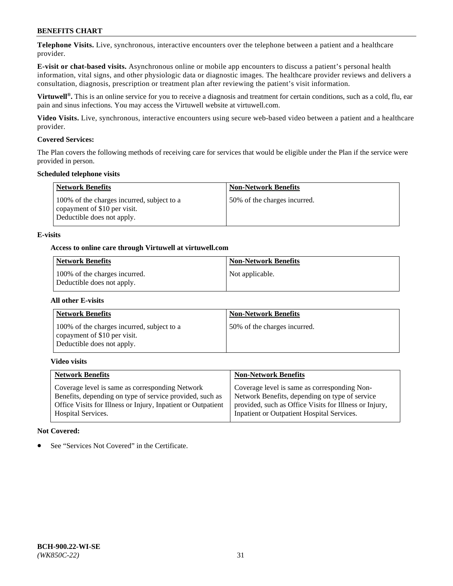**Telephone Visits.** Live, synchronous, interactive encounters over the telephone between a patient and a healthcare provider.

**E-visit or chat-based visits.** Asynchronous online or mobile app encounters to discuss a patient's personal health information, vital signs, and other physiologic data or diagnostic images. The healthcare provider reviews and delivers a consultation, diagnosis, prescription or treatment plan after reviewing the patient's visit information.

**Virtuwell®.** This is an online service for you to receive a diagnosis and treatment for certain conditions, such as a cold, flu, ear pain and sinus infections. You may access the Virtuwell website at [virtuwell.com.](https://www.virtuwell.com/)

**Video Visits.** Live, synchronous, interactive encounters using secure web-based video between a patient and a healthcare provider.

### **Covered Services:**

The Plan covers the following methods of receiving care for services that would be eligible under the Plan if the service were provided in person.

#### **Scheduled telephone visits**

| <b>Network Benefits</b>                                                                                  | <b>Non-Network Benefits</b>  |
|----------------------------------------------------------------------------------------------------------|------------------------------|
| 100% of the charges incurred, subject to a<br>copayment of \$10 per visit.<br>Deductible does not apply. | 50% of the charges incurred. |

### **E-visits**

### **Access to online care through Virtuwell at [virtuwell.com](https://www.virtuwell.com/)**

| Network Benefits                                            | <b>Non-Network Benefits</b> |
|-------------------------------------------------------------|-----------------------------|
| 100% of the charges incurred.<br>Deductible does not apply. | Not applicable.             |

#### **All other E-visits**

| <b>Network Benefits</b>                                                                                  | <b>Non-Network Benefits</b>  |
|----------------------------------------------------------------------------------------------------------|------------------------------|
| 100% of the charges incurred, subject to a<br>copayment of \$10 per visit.<br>Deductible does not apply. | 50% of the charges incurred. |

#### **Video visits**

| <b>Network Benefits</b>                                      | <b>Non-Network Benefits</b>                            |
|--------------------------------------------------------------|--------------------------------------------------------|
| Coverage level is same as corresponding Network              | Coverage level is same as corresponding Non-           |
| Benefits, depending on type of service provided, such as     | Network Benefits, depending on type of service         |
| Office Visits for Illness or Injury, Inpatient or Outpatient | provided, such as Office Visits for Illness or Injury, |
| <b>Hospital Services.</b>                                    | Inpatient or Outpatient Hospital Services.             |

#### **Not Covered:**

See "Services Not Covered" in the Certificate.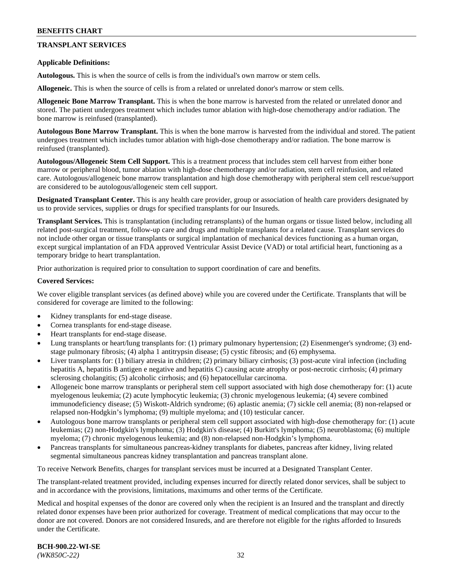## **TRANSPLANT SERVICES**

#### **Applicable Definitions:**

**Autologous.** This is when the source of cells is from the individual's own marrow or stem cells.

**Allogeneic.** This is when the source of cells is from a related or unrelated donor's marrow or stem cells.

**Allogeneic Bone Marrow Transplant.** This is when the bone marrow is harvested from the related or unrelated donor and stored. The patient undergoes treatment which includes tumor ablation with high-dose chemotherapy and/or radiation. The bone marrow is reinfused (transplanted).

**Autologous Bone Marrow Transplant.** This is when the bone marrow is harvested from the individual and stored. The patient undergoes treatment which includes tumor ablation with high-dose chemotherapy and/or radiation. The bone marrow is reinfused (transplanted).

**Autologous/Allogeneic Stem Cell Support.** This is a treatment process that includes stem cell harvest from either bone marrow or peripheral blood, tumor ablation with high-dose chemotherapy and/or radiation, stem cell reinfusion, and related care. Autologous/allogeneic bone marrow transplantation and high dose chemotherapy with peripheral stem cell rescue/support are considered to be autologous/allogeneic stem cell support.

**Designated Transplant Center.** This is any health care provider, group or association of health care providers designated by us to provide services, supplies or drugs for specified transplants for our Insureds.

**Transplant Services.** This is transplantation (including retransplants) of the human organs or tissue listed below, including all related post-surgical treatment, follow-up care and drugs and multiple transplants for a related cause. Transplant services do not include other organ or tissue transplants or surgical implantation of mechanical devices functioning as a human organ, except surgical implantation of an FDA approved Ventricular Assist Device (VAD) or total artificial heart, functioning as a temporary bridge to heart transplantation.

Prior authorization is required prior to consultation to support coordination of care and benefits.

#### **Covered Services:**

We cover eligible transplant services (as defined above) while you are covered under the Certificate. Transplants that will be considered for coverage are limited to the following:

- Kidney transplants for end-stage disease.
- Cornea transplants for end-stage disease.
- Heart transplants for end-stage disease.
- Lung transplants or heart/lung transplants for: (1) primary pulmonary hypertension; (2) Eisenmenger's syndrome; (3) endstage pulmonary fibrosis; (4) alpha 1 antitrypsin disease; (5) cystic fibrosis; and (6) emphysema.
- Liver transplants for: (1) biliary atresia in children; (2) primary biliary cirrhosis; (3) post-acute viral infection (including hepatitis A, hepatitis B antigen e negative and hepatitis C) causing acute atrophy or post-necrotic cirrhosis; (4) primary sclerosing cholangitis; (5) alcoholic cirrhosis; and (6) hepatocellular carcinoma.
- Allogeneic bone marrow transplants or peripheral stem cell support associated with high dose chemotherapy for: (1) acute myelogenous leukemia; (2) acute lymphocytic leukemia; (3) chronic myelogenous leukemia; (4) severe combined immunodeficiency disease; (5) Wiskott-Aldrich syndrome; (6) aplastic anemia; (7) sickle cell anemia; (8) non-relapsed or relapsed non-Hodgkin's lymphoma; (9) multiple myeloma; and (10) testicular cancer.
- Autologous bone marrow transplants or peripheral stem cell support associated with high-dose chemotherapy for: (1) acute leukemias; (2) non-Hodgkin's lymphoma; (3) Hodgkin's disease; (4) Burkitt's lymphoma; (5) neuroblastoma; (6) multiple myeloma; (7) chronic myelogenous leukemia; and (8) non-relapsed non-Hodgkin's lymphoma.
- Pancreas transplants for simultaneous pancreas-kidney transplants for diabetes, pancreas after kidney, living related segmental simultaneous pancreas kidney transplantation and pancreas transplant alone.

To receive Network Benefits, charges for transplant services must be incurred at a Designated Transplant Center.

The transplant-related treatment provided, including expenses incurred for directly related donor services, shall be subject to and in accordance with the provisions, limitations, maximums and other terms of the Certificate.

Medical and hospital expenses of the donor are covered only when the recipient is an Insured and the transplant and directly related donor expenses have been prior authorized for coverage. Treatment of medical complications that may occur to the donor are not covered. Donors are not considered Insureds, and are therefore not eligible for the rights afforded to Insureds under the Certificate.